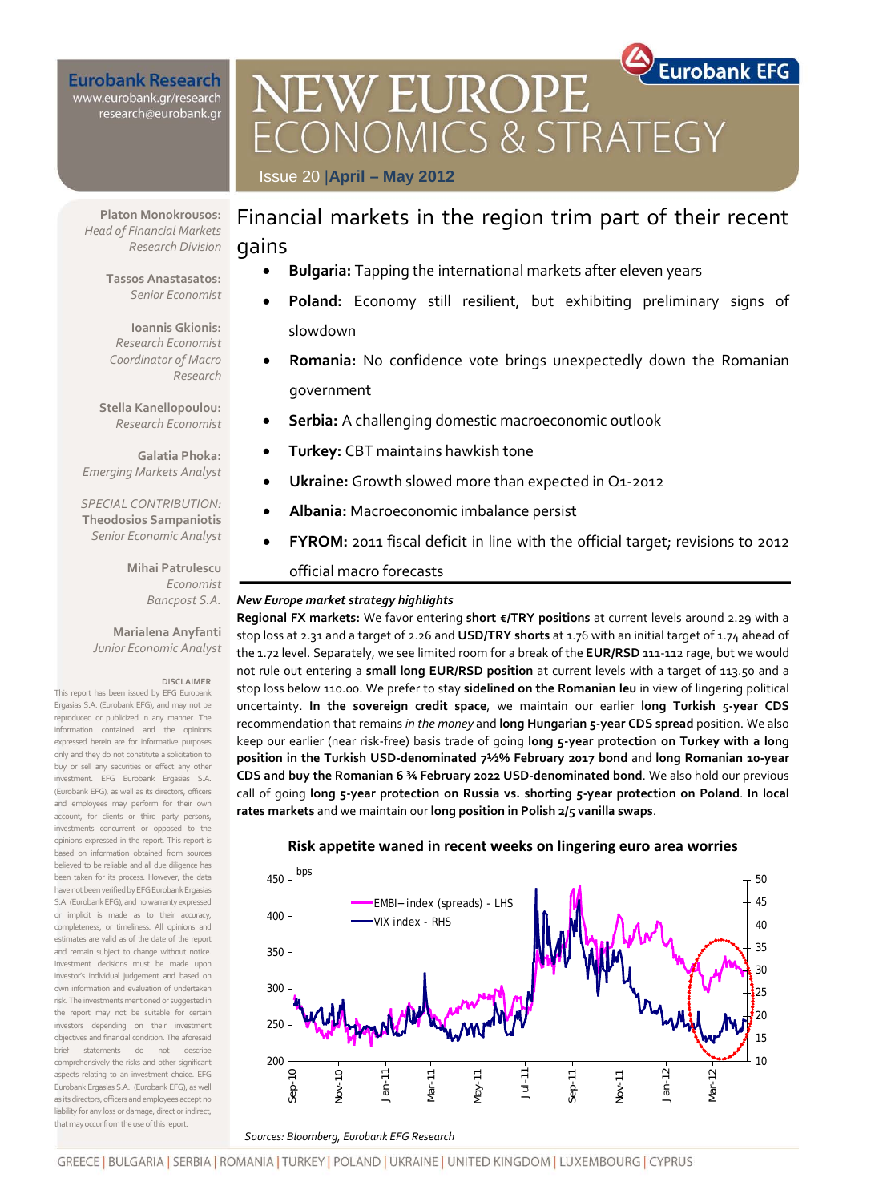### **Eurobank Research** www.eurobank.gr/research research@eurobank.gr

**Eurobank EFG EW EUROPE VOMICS & STRATE** Issue 20 |**April – May 2012**

**Platon Monokrousos:**  *Head of Financial Markets Research Division* 

> **Tassos Anastasatos:**  *Senior Economist*

**Ioannis Gkionis:**  *Research Economist Coordinator of Macro Research*

**Stella Kanellopoulou:**  *Research Economist*

**Galatia Phoka:**  *Emerging Markets Analyst*

*SPECIAL CONTRIBUTION:* **Theodosios Sampaniotis** *Senior Economic Analyst*

> **Mihai Patrulescu** *Economist Bancpost S.A.*

**Marialena Anyfanti** *Junior Economic Analyst*

#### **DISCLAIMER**

This report has been issued by EFG Eurobank Ergasias S.A. (Eurobank EFG), and may not be reproduced or publicized in any manner. The information contained and the opinions expressed herein are for informative purposes only and they do not constitute a solicitation to buy or sell any securities or effect any other investment. EFG Eurobank Ergasias S.A. (Eurobank EFG), as well as its directors, officers and employees may perform for their own account, for clients or third party persons, investments concurrent or opposed to the opinions expressed in the report. This report is based on information obtained from sources believed to be reliable and all due diligence has been taken for its process. However, the data have not been verified by EFG Eurobank Ergasias S.A. (Eurobank EFG), and no warranty expressed or implicit is made as to their accuracy, completeness, or timeliness. All opinions and estimates are valid as of the date of the report and remain subject to change without notice. Investment decisions must be made upon investor's individual judgement and based on own information and evaluation of undertaken risk. The investments mentioned or suggested in the report may not be suitable for certain investors depending on their investment objectives and financial condition. The aforesaid brief statements do not describe comprehensively the risks and other significant aspects relating to an investment choice. EFG Eurobank Ergasias S.A. (Eurobank EFG), as well as its directors, officers and employees accept no liability for any loss or damage, direct or indirect, that may occur from the use of this report.

# Financial markets in the region trim part of their recent gains

- **Bulgaria:** Tapping the international markets after eleven years
- **Poland:** Economy still resilient, but exhibiting preliminary signs of slowdown
- **Romania:** No confidence vote brings unexpectedly down the Romanian government
- **Serbia:** A challenging domestic macroeconomic outlook
- **Turkey:** CBT maintains hawkish tone
- **Ukraine:** Growth slowed more than expected in Q1-2012
- **Albania:** Macroeconomic imbalance persist
- **FYROM:** 2011 fiscal deficit in line with the official target; revisions to 2012

### official macro forecasts

#### *New Europe market strategy highlights*

**Regional FX markets:** We favor entering **short €/TRY positions** at current levels around 2.29 with a stop loss at 2.31 and a target of 2.26 and **USD/TRY shorts** at 1.76 with an initial target of 1.74 ahead of the 1.72 level. Separately, we see limited room for a break of the **EUR/RSD** 111-112 rage, but we would not rule out entering a **small long EUR/RSD position** at current levels with a target of 113.50 and a stop loss below 110.00. We prefer to stay **sidelined on the Romanian leu** in view of lingering political uncertainty. **In the sovereign credit space**, we maintain our earlier **long Turkish 5-year CDS** recommendation that remains *in the money* and **long Hungarian 5-year CDS spread** position. We also keep our earlier (near risk-free) basis trade of going **long 5-year protection on Turkey with a long position in the Turkish USD-denominated 7½% February 2017 bond** and **long Romanian 10-year CDS and buy the Romanian 6 ¾ February 2022 USD-denominated bond**. We also hold our previous call of going **long 5-year protection on Russia vs. shorting 5-year protection on Poland**. **In local rates markets** and we maintain our **long position in Polish 2/5 vanilla swaps**.



### **Risk appetite waned in recent weeks on lingering euro area worries**

GREECE | BULGARIA | SERBIA | ROMANIA | TURKEY | POLAND | UKRAINE | UNITED KINGDOM | LUXEMBOURG | CYPRUS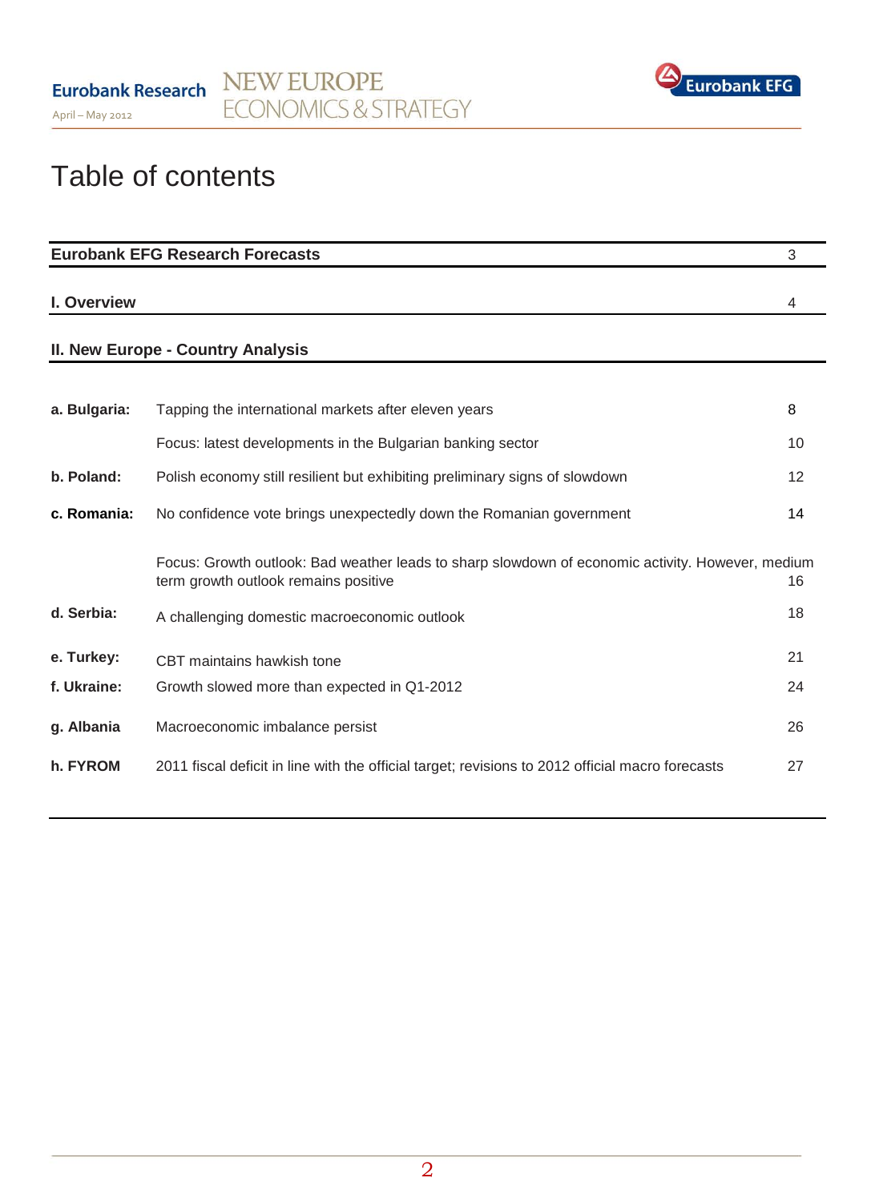

# Table of contents

|              | <b>Eurobank EFG Research Forecasts</b>                                                                                                   | 3  |
|--------------|------------------------------------------------------------------------------------------------------------------------------------------|----|
| I. Overview  |                                                                                                                                          | 4  |
|              | <b>II. New Europe - Country Analysis</b>                                                                                                 |    |
|              |                                                                                                                                          |    |
| a. Bulgaria: | Tapping the international markets after eleven years                                                                                     | 8  |
|              | Focus: latest developments in the Bulgarian banking sector                                                                               | 10 |
| b. Poland:   | Polish economy still resilient but exhibiting preliminary signs of slowdown                                                              | 12 |
| c. Romania:  | No confidence vote brings unexpectedly down the Romanian government                                                                      | 14 |
|              | Focus: Growth outlook: Bad weather leads to sharp slowdown of economic activity. However, medium<br>term growth outlook remains positive | 16 |
| d. Serbia:   | A challenging domestic macroeconomic outlook                                                                                             | 18 |
| e. Turkey:   | CBT maintains hawkish tone                                                                                                               | 21 |
| f. Ukraine:  | Growth slowed more than expected in Q1-2012                                                                                              | 24 |
| g. Albania   | Macroeconomic imbalance persist                                                                                                          | 26 |
| h. FYROM     | 2011 fiscal deficit in line with the official target; revisions to 2012 official macro forecasts                                         | 27 |
|              |                                                                                                                                          |    |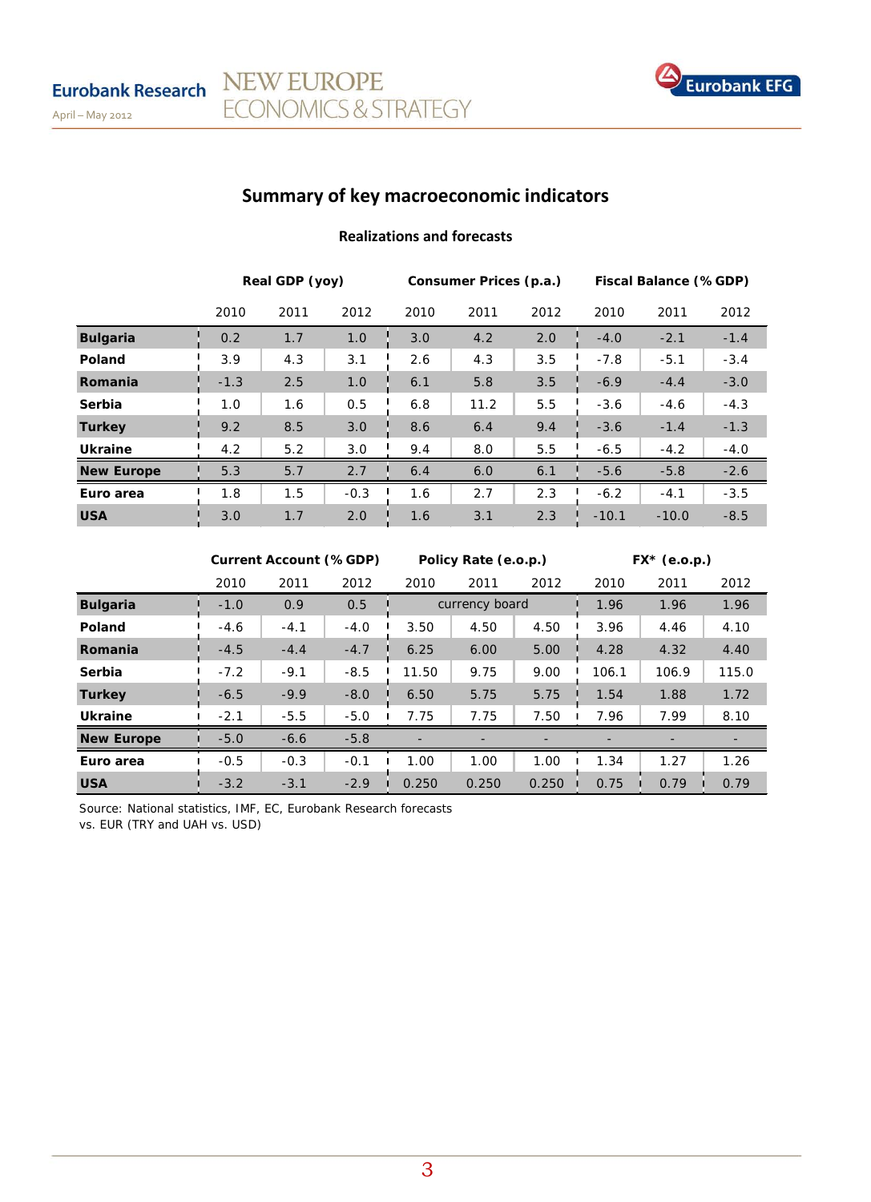

# **Summary of key macroeconomic indicators**

NEW EUROPE

**ECONOMICS & STRATEGY** 

### **Realizations and forecasts**

|                   | Real GDP (yoy) |      |        | Consumer Prices (p.a.) |      |      | Fiscal Balance (%GDP) |         |        |
|-------------------|----------------|------|--------|------------------------|------|------|-----------------------|---------|--------|
|                   | 2010           | 2011 | 2012   | 2010                   | 2011 | 2012 | 2010                  | 2011    | 2012   |
| <b>Bulgaria</b>   | 0.2            | 1.7  | 1.0    | 3.0                    | 4.2  | 2.0  | $-4.0$                | $-2.1$  | $-1.4$ |
| Poland            | 3.9            | 4.3  | 3.1    | 2.6                    | 4.3  | 3.5  | $-7.8$                | $-5.1$  | $-3.4$ |
| Romania           | $-1.3$         | 2.5  | 1.0    | 6.1                    | 5.8  | 3.5  | $-6.9$                | $-4.4$  | $-3.0$ |
| Serbia            | 1.0            | 1.6  | 0.5    | 6.8                    | 11.2 | 5.5  | $-3.6$                | $-4.6$  | $-4.3$ |
| <b>Turkey</b>     | 9.2            | 8.5  | 3.0    | 8.6                    | 6.4  | 9.4  | $-3.6$                | $-1.4$  | $-1.3$ |
| <b>Ukraine</b>    | 4.2            | 5.2  | 3.0    | 9.4                    | 8.0  | 5.5  | $-6.5$                | $-4.2$  | $-4.0$ |
| <b>New Europe</b> | 5.3            | 5.7  | 2.7    | 6.4                    | 6.0  | 6.1  | $-5.6$                | $-5.8$  | $-2.6$ |
| Euro area         | 1.8            | 1.5  | $-0.3$ | 1.6                    | 2.7  | 2.3  | $-6.2$                | $-4.1$  | $-3.5$ |
| <b>USA</b>        | 3.0            | 1.7  | 2.0    | 1.6                    | 3.1  | 2.3  | $-10.1$               | $-10.0$ | $-8.5$ |

|                   | <b>Current Account (%GDP)</b> |        |        | Policy Rate (e.o.p.) |                |       | $FX^*$ (e.o.p.) |       |       |
|-------------------|-------------------------------|--------|--------|----------------------|----------------|-------|-----------------|-------|-------|
|                   | 2010                          | 2011   | 2012   | 2010                 | 2011           | 2012  | 2010            | 2011  | 2012  |
| <b>Bulgaria</b>   | $-1.0$                        | 0.9    | 0.5    |                      | currency board |       | 1.96            | 1.96  | 1.96  |
| Poland            | $-4.6$                        | $-4.1$ | $-4.0$ | 3.50                 | 4.50           | 4.50  | 3.96            | 4.46  | 4.10  |
| Romania           | $-4.5$                        | $-4.4$ | $-4.7$ | 6.25                 | 6.00           | 5.00  | 4.28            | 4.32  | 4.40  |
| Serbia            | $-7.2$                        | $-9.1$ | $-8.5$ | 11.50                | 9.75           | 9.00  | 106.1           | 106.9 | 115.0 |
| <b>Turkey</b>     | $-6.5$                        | $-9.9$ | $-8.0$ | 6.50                 | 5.75           | 5.75  | 1.54            | 1.88  | 1.72  |
| <b>Ukraine</b>    | $-2.1$                        | $-5.5$ | $-5.0$ | 7.75                 | 7.75           | 7.50  | 7.96            | 7.99  | 8.10  |
| <b>New Europe</b> | $-5.0$                        | $-6.6$ | $-5.8$ |                      |                |       |                 |       |       |
| Euro area         | $-0.5$                        | $-0.3$ | $-0.1$ | 1.00                 | 1.00           | 1.00  | 1.34            | 1.27  | 1.26  |
| <b>USA</b>        | $-3.2$                        | $-3.1$ | $-2.9$ | 0.250                | 0.250          | 0.250 | 0.75            | 0.79  | 0.79  |

Source: National statistics, IMF, EC, Eurobank Research forecasts vs. EUR (TRY and UAH vs. USD)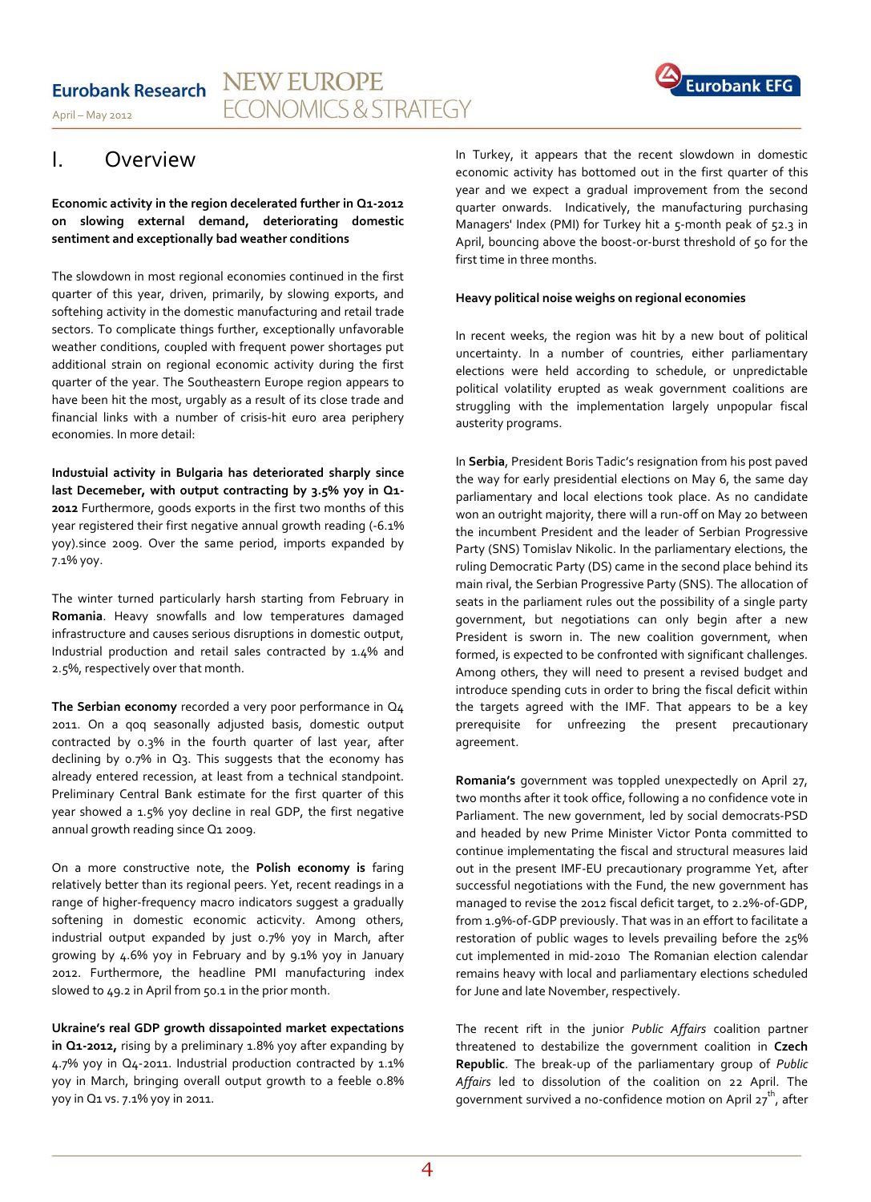#### **NEW EUROPE Eurobank Research ECONOMICS & STRATEGY** April – May 2012

# **Eurobank EFG**

# I. Overview

**Economic activity in the region decelerated further in Q1-2012 on slowing external demand, deteriorating domestic sentiment and exceptionally bad weather conditions** 

The slowdown in most regional economies continued in the first quarter of this year, driven, primarily, by slowing exports, and softehing activity in the domestic manufacturing and retail trade sectors. To complicate things further, exceptionally unfavorable weather conditions, coupled with frequent power shortages put additional strain on regional economic activity during the first quarter of the year. The Southeastern Europe region appears to have been hit the most, urgably as a result of its close trade and financial links with a number of crisis-hit euro area periphery economies. In more detail:

**Industuial activity in Bulgaria has deteriorated sharply since last Decemeber, with output contracting by 3.5% yoy in Q1- 2012** Furthermore, goods exports in the first two months of this year registered their first negative annual growth reading (-6.1% yoy).since 2009. Over the same period, imports expanded by 7.1% yoy.

The winter turned particularly harsh starting from February in **Romania**. Heavy snowfalls and low temperatures damaged infrastructure and causes serious disruptions in domestic output, Industrial production and retail sales contracted by 1.4% and 2.5%, respectively over that month.

**The Serbian economy** recorded a very poor performance in Q4 2011. On a qoq seasonally adjusted basis, domestic output contracted by 0.3% in the fourth quarter of last year, after declining by 0.7% in Q3. This suggests that the economy has already entered recession, at least from a technical standpoint. Preliminary Central Bank estimate for the first quarter of this year showed a 1.5% yoy decline in real GDP, the first negative annual growth reading since Q1 2009.

On a more constructive note, the **Polish economy is** faring relatively better than its regional peers. Yet, recent readings in a range of higher-frequency macro indicators suggest a gradually softening in domestic economic acticvity. Among others, industrial output expanded by just o.7% yoy in March, after growing by 4.6% yoy in February and by 9.1% yoy in January 2012. Furthermore, the headline PMI manufacturing index slowed to 49.2 in April from 50.1 in the prior month.

**Ukraine's real GDP growth dissapointed market expectations in Q1-2012,** rising by a preliminary 1.8% yoy after expanding by 4.7% yoy in Q4-2011. Industrial production contracted by 1.1% yoy in March, bringing overall output growth to a feeble 0.8% yoy in Q1 vs. 7.1% yoy in 2011.

In Turkey, it appears that the recent slowdown in domestic economic activity has bottomed out in the first quarter of this year and we expect a gradual improvement from the second quarter onwards. Indicatively, the manufacturing purchasing Managers' Index (PMI) for Turkey hit a 5-month peak of 52.3 in April, bouncing above the boost-or-burst threshold of 50 for the first time in three months.

#### **Heavy political noise weighs on regional economies**

In recent weeks, the region was hit by a new bout of political uncertainty. In a number of countries, either parliamentary elections were held according to schedule, or unpredictable political volatility erupted as weak government coalitions are struggling with the implementation largely unpopular fiscal austerity programs.

In **Serbia**, President Boris Tadic's resignation from his post paved the way for early presidential elections on May 6, the same day parliamentary and local elections took place. As no candidate won an outright majority, there will a run-off on May 20 between the incumbent President and the leader of Serbian Progressive Party (SNS) Tomislav Nikolic. In the parliamentary elections, the ruling Democratic Party (DS) came in the second place behind its main rival, the Serbian Progressive Party (SNS). The allocation of seats in the parliament rules out the possibility of a single party government, but negotiations can only begin after a new President is sworn in. The new coalition government, when formed, is expected to be confronted with significant challenges. Among others, they will need to present a revised budget and introduce spending cuts in order to bring the fiscal deficit within the targets agreed with the IMF. That appears to be a key prerequisite for unfreezing the present precautionary agreement.

**Romania's** government was toppled unexpectedly on April 27, two months after it took office, following a no confidence vote in Parliament. The new government, led by social democrats-PSD and headed by new Prime Minister Victor Ponta committed to continue implementating the fiscal and structural measures laid out in the present IMF-EU precautionary programme Yet, after successful negotiations with the Fund, the new government has managed to revise the 2012 fiscal deficit target, to 2.2%-of-GDP, from 1.9%-of-GDP previously. That was in an effort to facilitate a restoration of public wages to levels prevailing before the 25% cut implemented in mid-2010 The Romanian election calendar remains heavy with local and parliamentary elections scheduled for June and late November, respectively.

The recent rift in the junior *Public Affairs* coalition partner threatened to destabilize the government coalition in **Czech Republic**. The break-up of the parliamentary group of *Public Affairs* led to dissolution of the coalition on 22 April. The government survived a no-confidence motion on April  $27<sup>th</sup>$ , after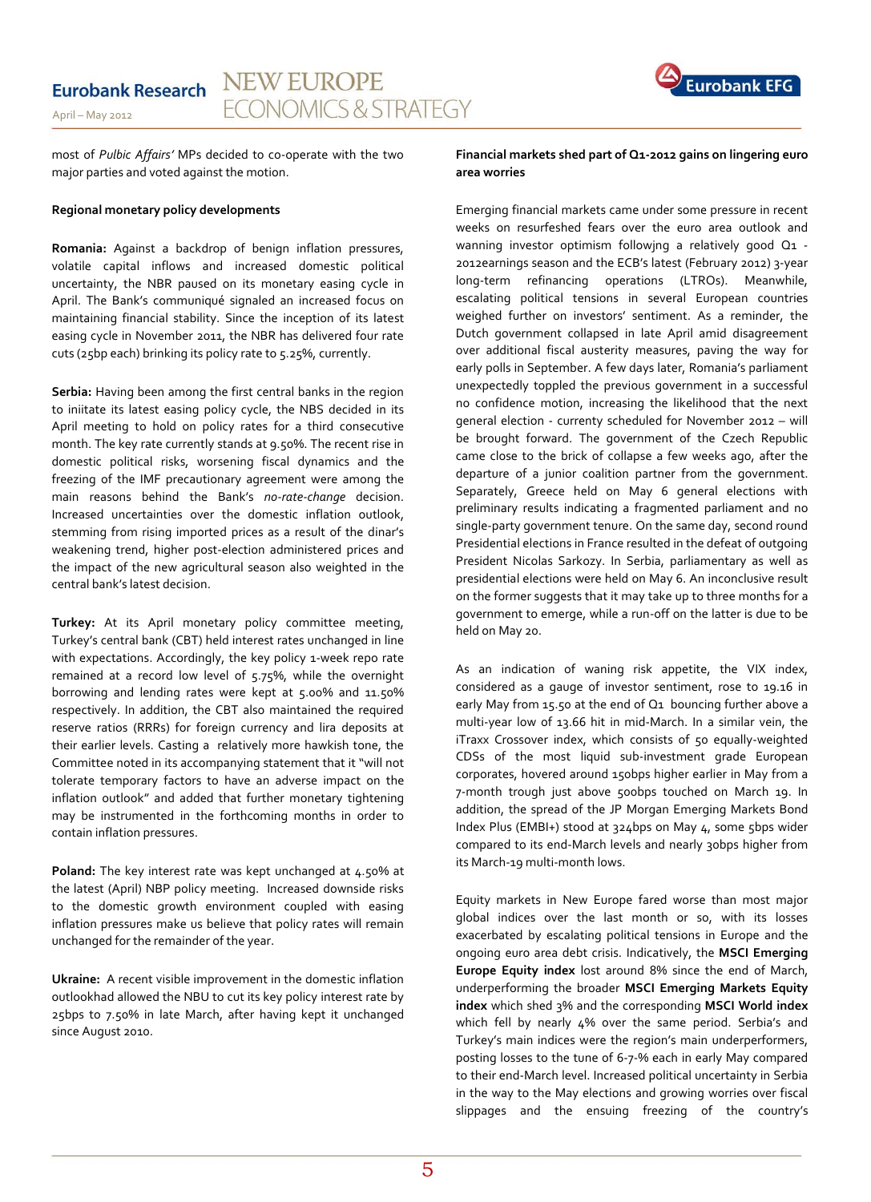

most of *Pulbic Affairs'* MPs decided to co-operate with the two major parties and voted against the motion.

#### **Regional monetary policy developments**

**Romania:** Against a backdrop of benign inflation pressures, volatile capital inflows and increased domestic political uncertainty, the NBR paused on its monetary easing cycle in April. The Bank's communiqué signaled an increased focus on maintaining financial stability. Since the inception of its latest easing cycle in November 2011, the NBR has delivered four rate cuts (25bp each) brinking its policy rate to 5.25%, currently.

**Serbia:** Having been among the first central banks in the region to iniitate its latest easing policy cycle, the NBS decided in its April meeting to hold on policy rates for a third consecutive month. The key rate currently stands at 9.50%. The recent rise in domestic political risks, worsening fiscal dynamics and the freezing of the IMF precautionary agreement were among the main reasons behind the Bank's *no-rate-change* decision. Increased uncertainties over the domestic inflation outlook, stemming from rising imported prices as a result of the dinar's weakening trend, higher post-election administered prices and the impact of the new agricultural season also weighted in the central bank's latest decision.

**Turkey:** At its April monetary policy committee meeting, Turkey's central bank (CBT) held interest rates unchanged in line with expectations. Accordingly, the key policy 1-week repo rate remained at a record low level of 5.75%, while the overnight borrowing and lending rates were kept at 5.00% and 11.50% respectively. In addition, the CBT also maintained the required reserve ratios (RRRs) for foreign currency and lira deposits at their earlier levels. Casting a relatively more hawkish tone, the Committee noted in its accompanying statement that it "will not tolerate temporary factors to have an adverse impact on the inflation outlook" and added that further monetary tightening may be instrumented in the forthcoming months in order to contain inflation pressures.

Poland: The key interest rate was kept unchanged at 4.50% at the latest (April) NBP policy meeting. Increased downside risks to the domestic growth environment coupled with easing inflation pressures make us believe that policy rates will remain unchanged for the remainder of the year.

**Ukraine:** A recent visible improvement in the domestic inflation outlookhad allowed the NBU to cut its key policy interest rate by 25bps to 7.50% in late March, after having kept it unchanged since August 2010.

#### **Financial markets shed part of Q1-2012 gains on lingering euro area worries**

Emerging financial markets came under some pressure in recent weeks on resurfeshed fears over the euro area outlook and wanning investor optimism followjng a relatively good Q1 - 2012earnings season and the ECB's latest (February 2012) 3-year long-term refinancing operations (LTROs). Meanwhile, escalating political tensions in several European countries weighed further on investors' sentiment. As a reminder, the Dutch government collapsed in late April amid disagreement over additional fiscal austerity measures, paving the way for early polls in September. A few days later, Romania's parliament unexpectedly toppled the previous government in a successful no confidence motion, increasing the likelihood that the next general election - currenty scheduled for November 2012 – will be brought forward. The government of the Czech Republic came close to the brick of collapse a few weeks ago, after the departure of a junior coalition partner from the government. Separately, Greece held on May 6 general elections with preliminary results indicating a fragmented parliament and no single-party government tenure. On the same day, second round Presidential elections in France resulted in the defeat of outgoing President Nicolas Sarkozy. In Serbia, parliamentary as well as presidential elections were held on May 6. An inconclusive result on the former suggests that it may take up to three months for a government to emerge, while a run-off on the latter is due to be held on May 20.

As an indication of waning risk appetite, the VIX index, considered as a gauge of investor sentiment, rose to 19.16 in early May from 15.50 at the end of Q1 bouncing further above a multi-year low of 13.66 hit in mid-March. In a similar vein, the iTraxx Crossover index, which consists of 50 equally-weighted CDSs of the most liquid sub-investment grade European corporates, hovered around 150bps higher earlier in May from a 7-month trough just above 500bps touched on March 19. In addition, the spread of the JP Morgan Emerging Markets Bond Index Plus (EMBI+) stood at 324bps on May 4, some 5bps wider compared to its end-March levels and nearly 30bps higher from its March-19 multi-month lows.

Equity markets in New Europe fared worse than most major global indices over the last month or so, with its losses exacerbated by escalating political tensions in Europe and the ongoing euro area debt crisis. Indicatively, the **MSCI Emerging Europe Equity index** lost around 8% since the end of March, underperforming the broader **MSCI Emerging Markets Equity index** which shed 3% and the corresponding **MSCI World index** which fell by nearly 4% over the same period. Serbia's and Turkey's main indices were the region's main underperformers, posting losses to the tune of 6-7-% each in early May compared to their end-March level. Increased political uncertainty in Serbia in the way to the May elections and growing worries over fiscal slippages and the ensuing freezing of the country's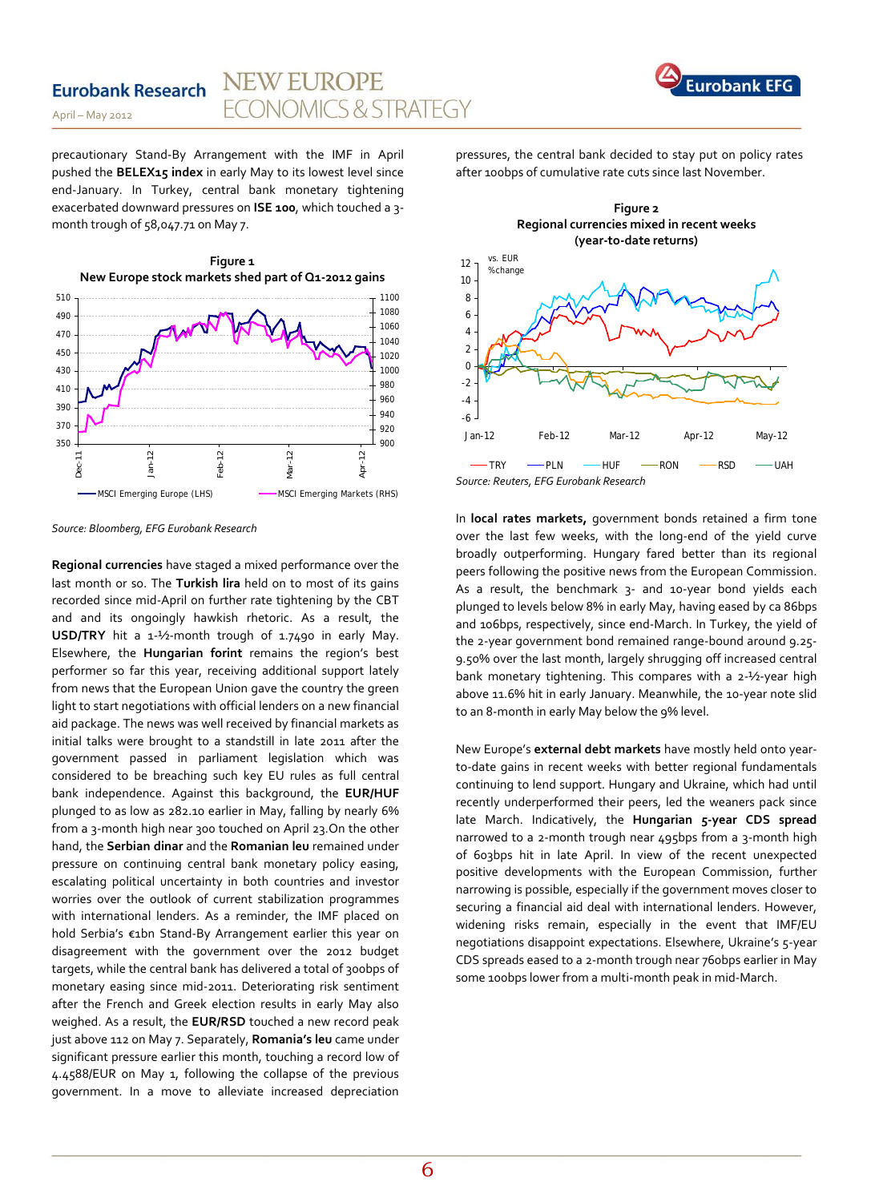#### **NEW EUROPE Eurobank Research ECONOMICS & STRATEGY**

April – May 2012

precautionary Stand-By Arrangement with the IMF in April pushed the **BELEX15 index** in early May to its lowest level since end-January. In Turkey, central bank monetary tightening exacerbated downward pressures on **ISE 100**, which touched a 3 month trough of 58,047.71 on May 7.



*Source: Bloomberg, EFG Eurobank Research*

**Regional currencies** have staged a mixed performance over the last month or so. The **Turkish lira** held on to most of its gains recorded since mid-April on further rate tightening by the CBT and and its ongoingly hawkish rhetoric. As a result, the **USD/TRY** hit a 1-½-month trough of 1.7490 in early May. Elsewhere, the **Hungarian forint** remains the region's best performer so far this year, receiving additional support lately from news that the European Union gave the country the green light to start negotiations with official lenders on a new financial aid package. The news was well received by financial markets as initial talks were brought to a standstill in late 2011 after the government passed in parliament legislation which was considered to be breaching such key EU rules as full central bank independence. Against this background, the **EUR/HUF** plunged to as low as 282.10 earlier in May, falling by nearly 6% from a 3-month high near 300 touched on April 23.On the other hand, the **Serbian dinar** and the **Romanian leu** remained under pressure on continuing central bank monetary policy easing, escalating political uncertainty in both countries and investor worries over the outlook of current stabilization programmes with international lenders. As a reminder, the IMF placed on hold Serbia's €1bn Stand-By Arrangement earlier this year on disagreement with the government over the 2012 budget targets, while the central bank has delivered a total of 300bps of monetary easing since mid-2011. Deteriorating risk sentiment after the French and Greek election results in early May also weighed. As a result, the **EUR/RSD** touched a new record peak just above 112 on May 7. Separately, **Romania's leu** came under significant pressure earlier this month, touching a record low of 4.4588/EUR on May 1, following the collapse of the previous government. In a move to alleviate increased depreciation pressures, the central bank decided to stay put on policy rates after 100bps of cumulative rate cuts since last November.

**Eurobank EFG** 



*Source: Reuters, EFG Eurobank Research*

In **local rates markets,** government bonds retained a firm tone over the last few weeks, with the long-end of the yield curve broadly outperforming. Hungary fared better than its regional peers following the positive news from the European Commission. As a result, the benchmark 3- and 10-year bond yields each plunged to levels below 8% in early May, having eased by ca 86bps and 106bps, respectively, since end-March. In Turkey, the yield of the 2-year government bond remained range-bound around 9.25- 9.50% over the last month, largely shrugging off increased central bank monetary tightening. This compares with a 2-½-year high above 11.6% hit in early January. Meanwhile, the 10-year note slid to an 8-month in early May below the 9% level.

New Europe's **external debt markets** have mostly held onto yearto-date gains in recent weeks with better regional fundamentals continuing to lend support. Hungary and Ukraine, which had until recently underperformed their peers, led the weaners pack since late March. Indicatively, the **Hungarian 5-year CDS spread** narrowed to a 2-month trough near 495bps from a 3-month high of 603bps hit in late April. In view of the recent unexpected positive developments with the European Commission, further narrowing is possible, especially if the government moves closer to securing a financial aid deal with international lenders. However, widening risks remain, especially in the event that IMF/EU negotiations disappoint expectations. Elsewhere, Ukraine's 5-year CDS spreads eased to a 2-month trough near 760bps earlier in May some 100bps lower from a multi-month peak in mid-March.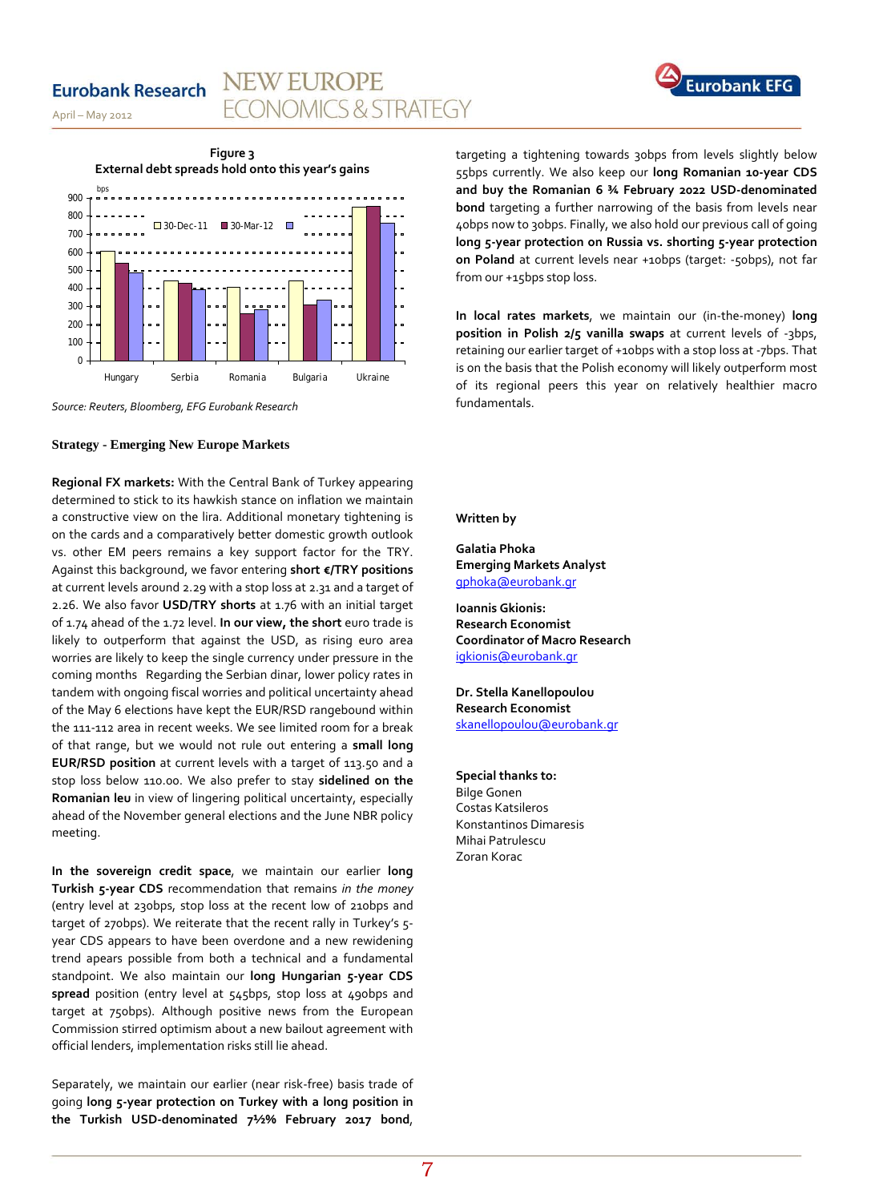### **Eurobank Research**

# **ECONOMICS & STRATEGY**

**NEW EUROPE** 



April – May 2012



*Source: Reuters, Bloomberg, EFG Eurobank Research*

#### **Strategy - Emerging New Europe Markets**

**Regional FX markets:** With the Central Bank of Turkey appearing determined to stick to its hawkish stance on inflation we maintain a constructive view on the lira. Additional monetary tightening is on the cards and a comparatively better domestic growth outlook vs. other EM peers remains a key support factor for the TRY. Against this background, we favor entering **short €/TRY positions**  at current levels around 2.29 with a stop loss at 2.31 and a target of 2.26. We also favor **USD/TRY shorts** at 1.76 with an initial target of 1.74 ahead of the 1.72 level. **In our view, the short** euro trade is likely to outperform that against the USD, as rising euro area worries are likely to keep the single currency under pressure in the coming months Regarding the Serbian dinar, lower policy rates in tandem with ongoing fiscal worries and political uncertainty ahead of the May 6 elections have kept the EUR/RSD rangebound within the 111-112 area in recent weeks. We see limited room for a break of that range, but we would not rule out entering a **small long EUR/RSD position** at current levels with a target of 113.50 and a stop loss below 110.00. We also prefer to stay **sidelined on the Romanian leu** in view of lingering political uncertainty, especially ahead of the November general elections and the June NBR policy meeting.

**In the sovereign credit space**, we maintain our earlier **long Turkish 5-year CDS** recommendation that remains *in the money* (entry level at 230bps, stop loss at the recent low of 210bps and target of 270bps). We reiterate that the recent rally in Turkey's 5 year CDS appears to have been overdone and a new rewidening trend apears possible from both a technical and a fundamental standpoint. We also maintain our **long Hungarian 5-year CDS spread** position (entry level at 545bps, stop loss at 490bps and target at 750bps). Although positive news from the European Commission stirred optimism about a new bailout agreement with official lenders, implementation risks still lie ahead.

Separately, we maintain our earlier (near risk-free) basis trade of going **long 5-year protection on Turkey with a long position in the Turkish USD-denominated 7½% February 2017 bond**,

targeting a tightening towards 30bps from levels slightly below 55bps currently. We also keep our **long Romanian 10-year CDS and buy the Romanian 6 ¾ February 2022 USD-denominated bond** targeting a further narrowing of the basis from levels near 40bps now to 30bps. Finally, we also hold our previous call of going **long 5-year protection on Russia vs. shorting 5-year protection on Poland** at current levels near +10bps (target: -50bps), not far from our +15bps stop loss.

**In local rates markets**, we maintain our (in-the-money) **long position in Polish 2/5 vanilla swaps** at current levels of -3bps, retaining our earlier target of +10bps with a stop loss at -7bps. That is on the basis that the Polish economy will likely outperform most of its regional peers this year on relatively healthier macro fundamentals.

#### **Written by**

**Galatia Phoka Emerging Markets Analyst** [gphoka@eurobank.gr](mailto:gphoka@eurobank.gr)

**Ioannis Gkionis: Research Economist Coordinator of Macro Research** [igkionis@eurobank.gr](mailto:igkionis@eurobank.gr)

**Dr. Stella Kanellopoulou Research Economist**  [skanellopoulou@eurobank.gr](mailto:skanellopoulou@eurobank.gr)

**Special thanks to:** Bilge Gonen Costas Katsileros Konstantinos Dimaresis Mihai Patrulescu Zoran Korac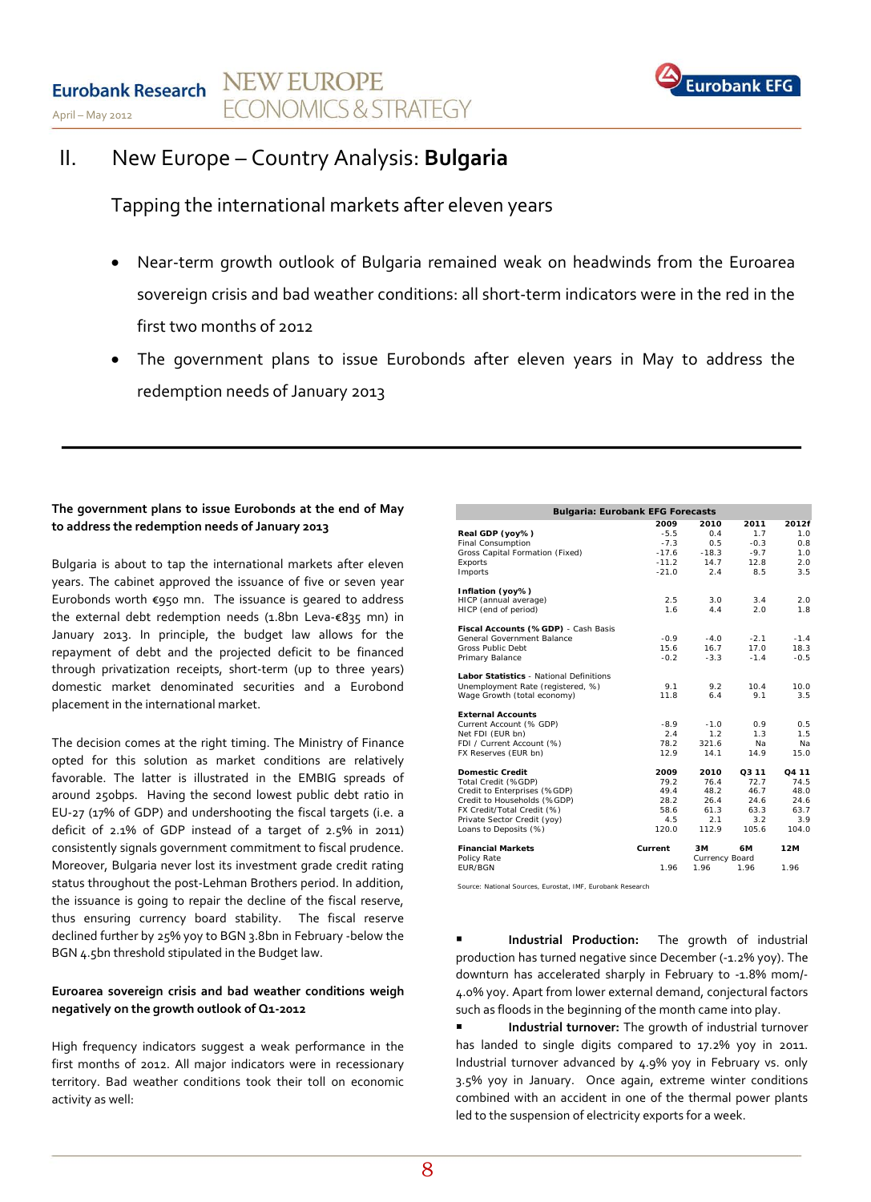

# II. New Europe – Country Analysis: **Bulgaria**

Tapping the international markets after eleven years

- Near-term growth outlook of Bulgaria remained weak on headwinds from the Euroarea sovereign crisis and bad weather conditions: all short-term indicators were in the red in the first two months of 2012
- The government plans to issue Eurobonds after eleven years in May to address the redemption needs of January 2013

### **The government plans to issue Eurobonds at the end of May to address the redemption needs of January 2013**

Bulgaria is about to tap the international markets after eleven years. The cabinet approved the issuance of five or seven year Eurobonds worth €950 mn. The issuance is geared to address the external debt redemption needs (1.8bn Leva-€835 mn) in January 2013. In principle, the budget law allows for the repayment of debt and the projected deficit to be financed through privatization receipts, short-term (up to three years) domestic market denominated securities and a Eurobond placement in the international market.

The decision comes at the right timing. The Ministry of Finance opted for this solution as market conditions are relatively favorable. The latter is illustrated in the EMBIG spreads of around 250bps. Having the second lowest public debt ratio in EU-27 (17% of GDP) and undershooting the fiscal targets (i.e. a deficit of 2.1% of GDP instead of a target of 2.5% in 2011) consistently signals government commitment to fiscal prudence. Moreover, Bulgaria never lost its investment grade credit rating status throughout the post-Lehman Brothers period. In addition, the issuance is going to repair the decline of the fiscal reserve, thus ensuring currency board stability. The fiscal reserve declined further by 25% yoy to BGN 3.8bn in February -below the BGN 4.5bn threshold stipulated in the Budget law.

### **Euroarea sovereign crisis and bad weather conditions weigh negatively on the growth outlook of Q1-2012**

High frequency indicators suggest a weak performance in the first months of 2012. All major indicators were in recessionary territory. Bad weather conditions took their toll on economic activity as well:

| <b>Bulgaria: Eurobank EFG Forecasts</b>        |         |                |        |                   |  |  |
|------------------------------------------------|---------|----------------|--------|-------------------|--|--|
|                                                | 2009    | 2010           | 2011   | 2012f             |  |  |
| Real GDP (yoy%)                                | $-5.5$  | 0.4            | 1.7    | 1.0               |  |  |
| <b>Final Consumption</b>                       | $-7.3$  | 0.5            | $-0.3$ | 0.8               |  |  |
| Gross Capital Formation (Fixed)                | $-17.6$ | $-18.3$        | $-9.7$ | 1.0               |  |  |
| Exports                                        | $-11.2$ | 14.7           | 12.8   | 2.0               |  |  |
| Imports                                        | $-21.0$ | 2.4            | 8.5    | 3.5               |  |  |
| Inflation (yoy%)                               |         |                |        |                   |  |  |
| HICP (annual average)                          | 2.5     | 3.0            | 3.4    | 2.0               |  |  |
| HICP (end of period)                           | 1.6     | 4.4            | 2.0    | 1.8               |  |  |
| Fiscal Accounts (%GDP) - Cash Basis            |         |                |        |                   |  |  |
| General Government Balance                     | $-0.9$  | $-4.0$         | $-2.1$ | $-1.4$            |  |  |
| Gross Public Debt                              | 15.6    | 16.7           | 17.0   | 18.3              |  |  |
| Primary Balance                                | $-0.2$  | $-3.3$         | $-1.4$ | $-0.5$            |  |  |
| <b>Labor Statistics - National Definitions</b> |         |                |        |                   |  |  |
| Unemployment Rate (registered, %)              | 9.1     | 9.2            | 10.4   | 10.0              |  |  |
| Wage Growth (total economy)                    | 11.8    | 6.4            | 9.1    | 3.5               |  |  |
| <b>External Accounts</b>                       |         |                |        |                   |  |  |
| Current Account (% GDP)                        | $-8.9$  | $-1.0$         | 0.9    | 0.5               |  |  |
| Net FDI (EUR bn)                               | 2.4     | 1.2            | 1.3    | 1.5               |  |  |
| FDI / Current Account (%)                      | 78.2    | 321.6          | Nа     | Nа                |  |  |
| FX Reserves (EUR bn)                           | 12.9    | 14.1           | 14.9   | 15.0              |  |  |
| <b>Domestic Credit</b>                         | 2009    | 2010           | Q3 11  | O <sub>4</sub> 11 |  |  |
| Total Credit (%GDP)                            | 79.2    | 76.4           | 72.7   | 74.5              |  |  |
| Credit to Enterprises (%GDP)                   | 49.4    | 48.2           | 46.7   | 48.0              |  |  |
| Credit to Households (%GDP)                    | 28.2    | 26.4           | 24.6   | 24.6              |  |  |
| FX Credit/Total Credit (%)                     | 58.6    | 61.3           | 63.3   | 63.7              |  |  |
| Private Sector Credit (yoy)                    | 4.5     | 2.1            | 3.2    | 3.9               |  |  |
| Loans to Deposits (%)                          | 120.0   | 112.9          | 105.6  | 104.0             |  |  |
| <b>Financial Markets</b>                       | Current | ЗM             | 6М     | 12M               |  |  |
| Policy Rate                                    |         | Currency Board |        |                   |  |  |
| <b>FUR/BGN</b>                                 | 1.96    | 1.96           | 1.96   | 1.96              |  |  |

*Source: National Sources, Eurostat, IMF, Eurobank Research*

 **Industrial Production:** The growth of industrial production has turned negative since December (-1.2% yoy). The downturn has accelerated sharply in February to -1.8% mom/- 4.0% yoy. Apart from lower external demand, conjectural factors such as floods in the beginning of the month came into play.

 **Industrial turnover:** The growth of industrial turnover has landed to single digits compared to 17.2% yoy in 2011. Industrial turnover advanced by 4.9% yoy in February vs. only 3.5% yoy in January. Once again, extreme winter conditions combined with an accident in one of the thermal power plants led to the suspension of electricity exports for a week.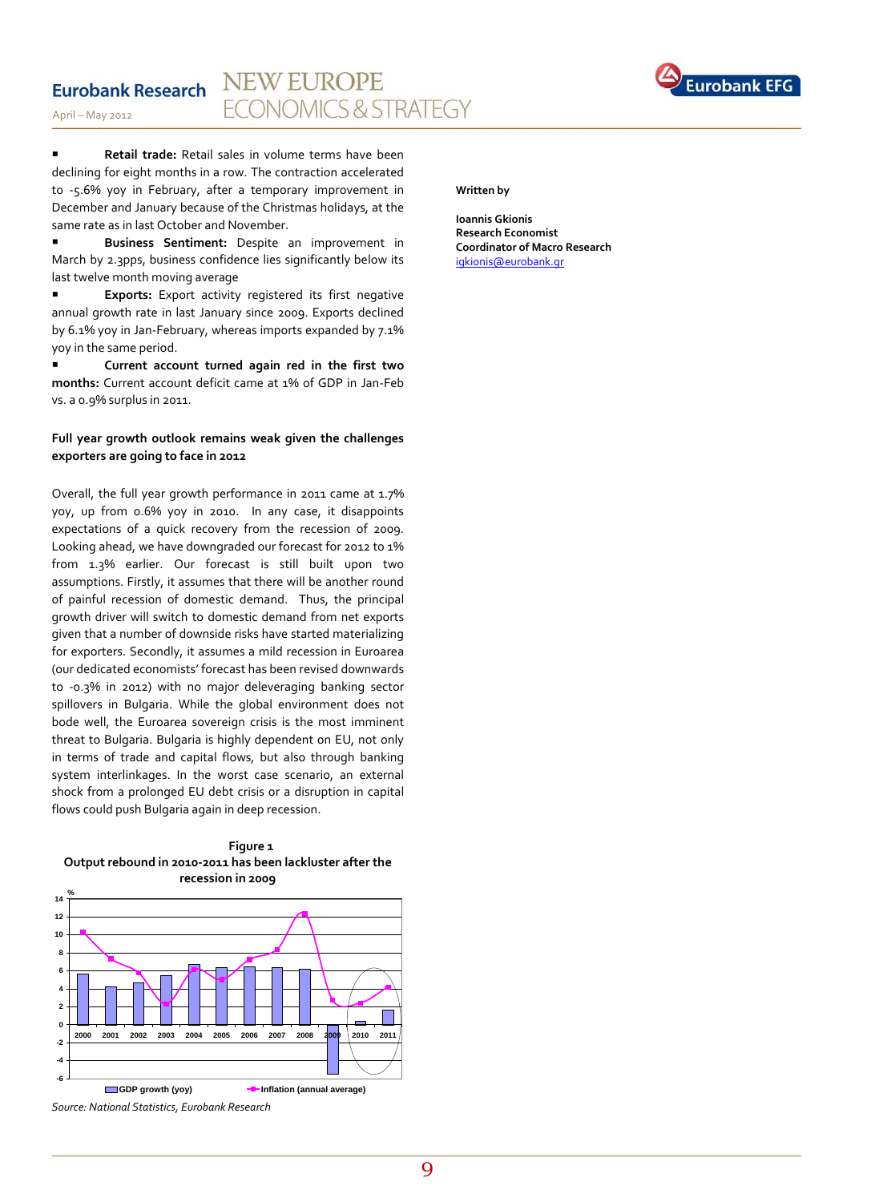#### **NEW EUROPE Eurobank Research** ONOMICS & STRATEGY



April – May 2012

**Retail trade:** Retail sales in volume terms have been declining for eight months in a row. The contraction accelerated to -5.6% yoy in February, after a temporary improvement in December and January because of the Christmas holidays, at the same rate as in last October and November.

 **Business Sentiment:** Despite an improvement in March by 2.3pps, business confidence lies significantly below its last twelve month moving average

 **Exports:** Export activity registered its first negative annual growth rate in last January since 2009. Exports declined by 6.1% yoy in Jan-February, whereas imports expanded by 7.1% yoy in the same period.

 **Current account turned again red in the first two months:** Current account deficit came at 1% of GDP in Jan-Feb vs. a 0.9% surplus in 2011.

#### **Full year growth outlook remains weak given the challenges exporters are going to face in 2012**

Overall, the full year growth performance in 2011 came at 1.7% yoy, up from 0.6% yoy in 2010. In any case, it disappoints expectations of a quick recovery from the recession of 2009. Looking ahead, we have downgraded our forecast for 2012 to 1% from 1.3% earlier. Our forecast is still built upon two assumptions. Firstly, it assumes that there will be another round of painful recession of domestic demand. Thus, the principal growth driver will switch to domestic demand from net exports given that a number of downside risks have started materializing for exporters. Secondly, it assumes a mild recession in Euroarea (our dedicated economists' forecast has been revised downwards to -0.3% in 2012) with no major deleveraging banking sector spillovers in Bulgaria. While the global environment does not bode well, the Euroarea sovereign crisis is the most imminent threat to Bulgaria. Bulgaria is highly dependent on EU, not only in terms of trade and capital flows, but also through banking system interlinkages. In the worst case scenario, an external shock from a prolonged EU debt crisis or a disruption in capital flows could push Bulgaria again in deep recession.





*Source: National Statistics, Eurobank Research*

#### **Written by**

**Ioannis Gkionis Research Economist Coordinator of Macro Research** [igkionis@eurobank.gr](mailto:igkionis@eurobank.gr)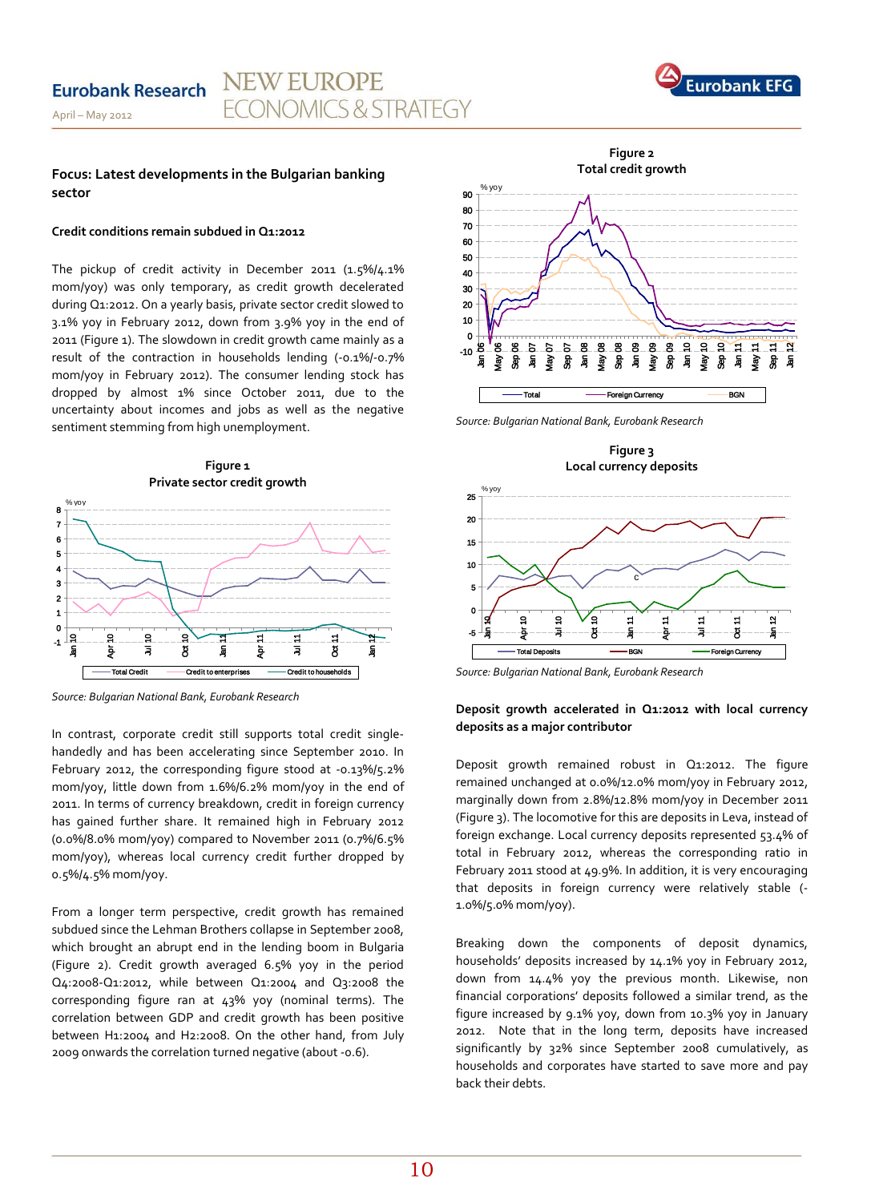

#### **Focus: Latest developments in the Bulgarian banking sector**

#### **Credit conditions remain subdued in Q1:2012**

The pickup of credit activity in December 2011 (1.5%/4.1% mom/yoy) was only temporary, as credit growth decelerated during Q1:2012. On a yearly basis, private sector credit slowed to 3.1% yoy in February 2012, down from 3.9% yoy in the end of 2011 (Figure 1). The slowdown in credit growth came mainly as a result of the contraction in households lending (-0.1%/-0.7% mom/yoy in February 2012). The consumer lending stock has dropped by almost 1% since October 2011, due to the uncertainty about incomes and jobs as well as the negative sentiment stemming from high unemployment.



*Source: Bulgarian National Bank, Eurobank Research* 

In contrast, corporate credit still supports total credit singlehandedly and has been accelerating since September 2010. In February 2012, the corresponding figure stood at -0.13%/5.2% mom/yoy, little down from 1.6%/6.2% mom/yoy in the end of 2011. In terms of currency breakdown, credit in foreign currency has gained further share. It remained high in February 2012 (0.0%/8.0% mom/yoy) compared to November 2011 (0.7%/6.5% mom/yoy), whereas local currency credit further dropped by 0.5%/4.5% mom/yoy.

From a longer term perspective, credit growth has remained subdued since the Lehman Brothers collapse in September 2008, which brought an abrupt end in the lending boom in Bulgaria (Figure 2). Credit growth averaged 6.5% yoy in the period Q4:2008-Q1:2012, while between Q1:2004 and Q3:2008 the corresponding figure ran at 43% yoy (nominal terms). The correlation between GDP and credit growth has been positive between H1:2004 and H2:2008. On the other hand, from July 2009 onwards the correlation turned negative (about -0.6).



*Source: Bulgarian National Bank, Eurobank Research*

**Figure 3 Local currency deposits**



*Source: Bulgarian National Bank, Eurobank Research* 

### **Deposit growth accelerated in Q1:2012 with local currency deposits as a major contributor**

Deposit growth remained robust in Q1:2012. The figure remained unchanged at 0.0%/12.0% mom/yoy in February 2012, marginally down from 2.8%/12.8% mom/yoy in December 2011 (Figure 3). The locomotive for this are deposits in Leva, instead of foreign exchange. Local currency deposits represented 53.4% of total in February 2012, whereas the corresponding ratio in February 2011 stood at 49.9%. In addition, it is very encouraging that deposits in foreign currency were relatively stable (- 1.0%/5.0% mom/yoy).

Breaking down the components of deposit dynamics, households' deposits increased by 14.1% yoy in February 2012, down from 14.4% yoy the previous month. Likewise, non financial corporations' deposits followed a similar trend, as the figure increased by 9.1% yoy, down from 10.3% yoy in January 2012. Note that in the long term, deposits have increased significantly by 32% since September 2008 cumulatively, as households and corporates have started to save more and pay back their debts.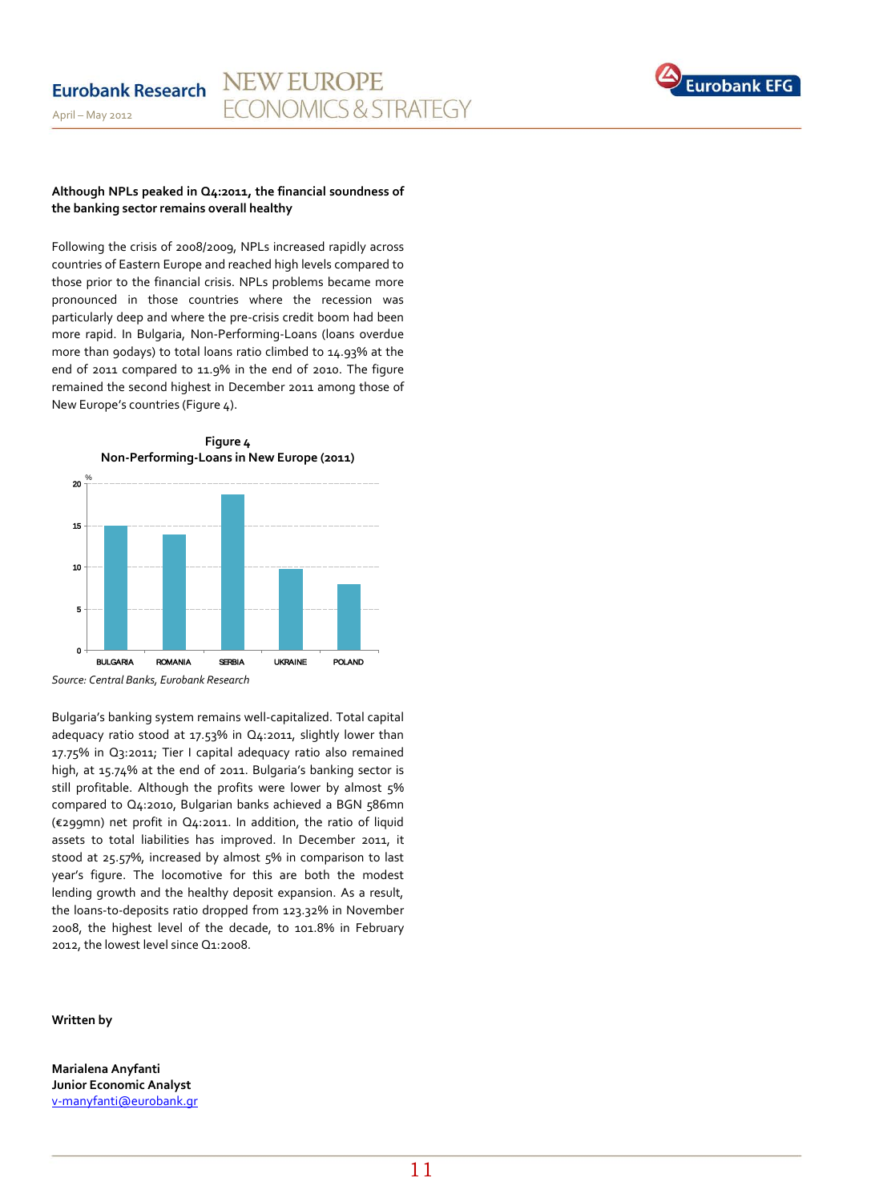

#### **Although NPLs peaked in Q4:2011, the financial soundness of the banking sector remains overall healthy**

Following the crisis of 2008/2009, NPLs increased rapidly across countries of Eastern Europe and reached high levels compared to those prior to the financial crisis. NPLs problems became more pronounced in those countries where the recession was particularly deep and where the pre-crisis credit boom had been more rapid. In Bulgaria, Non-Performing-Loans (loans overdue more than 90days) to total loans ratio climbed to 14.93% at the end of 2011 compared to 11.9% in the end of 2010. The figure remained the second highest in December 2011 among those of New Europe's countries (Figure 4).



*Source: Central Banks, Eurobank Research* 

Bulgaria's banking system remains well-capitalized. Total capital adequacy ratio stood at 17.53% in Q4:2011, slightly lower than 17.75% in Q3:2011; Tier I capital adequacy ratio also remained high, at 15.74% at the end of 2011. Bulgaria's banking sector is still profitable. Although the profits were lower by almost 5% compared to Q4:2010, Bulgarian banks achieved a BGN 586mn (€299mn) net profit in Q4:2011. In addition, the ratio of liquid assets to total liabilities has improved. In December 2011, it stood at 25.57%, increased by almost 5% in comparison to last year's figure. The locomotive for this are both the modest lending growth and the healthy deposit expansion. As a result, the loans-to-deposits ratio dropped from 123.32% in November 2008, the highest level of the decade, to 101.8% in February 2012, the lowest level since Q1:2008.

#### **Written by**

**Marialena Anyfanti Junior Economic Analyst** [v-manyfanti@eurobank.gr](mailto:v-manyfanti@eurobank.gr)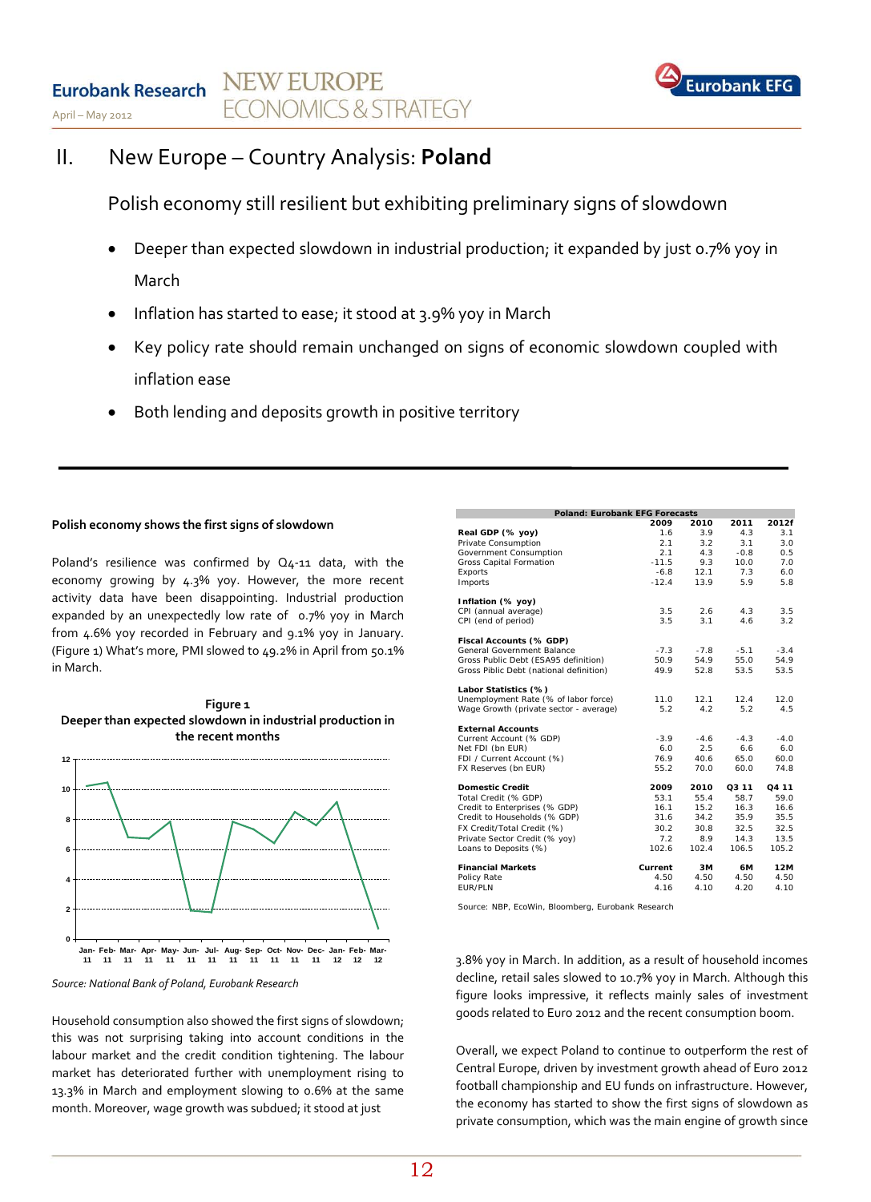

# II. New Europe – Country Analysis: **Poland**

Polish economy still resilient but exhibiting preliminary signs of slowdown

- Deeper than expected slowdown in industrial production; it expanded by just 0.7% yoy in March
- Inflation has started to ease; it stood at 3.9% yoy in March
- Key policy rate should remain unchanged on signs of economic slowdown coupled with inflation ease
- Both lending and deposits growth in positive territory

### **Polish economy shows the first signs of slowdown**

Poland's resilience was confirmed by Q4-11 data, with the economy growing by 4.3% yoy. However, the more recent activity data have been disappointing. Industrial production expanded by an unexpectedly low rate of 0.7% yoy in March from 4.6% yoy recorded in February and 9.1% yoy in January. (Figure 1) What's more, PMI slowed to 49.2% in April from 50.1% in March.



*Source: National Bank of Poland, Eurobank Research*

Household consumption also showed the first signs of slowdown; this was not surprising taking into account conditions in the labour market and the credit condition tightening. The labour market has deteriorated further with unemployment rising to 13.3% in March and employment slowing to 0.6% at the same month. Moreover, wage growth was subdued; it stood at just

| <b>Poland: Eurobank EFG Forecasts</b>   |         |        |        |        |  |  |  |
|-----------------------------------------|---------|--------|--------|--------|--|--|--|
|                                         | 2009    | 2010   | 2011   | 2012f  |  |  |  |
| Real GDP (% yoy)                        | 1.6     | 3.9    | 4.3    | 3.1    |  |  |  |
| Private Consumption                     | 2.1     | 3.2    | 3.1    | 3.0    |  |  |  |
| Government Consumption                  | 2.1     | 4.3    | $-0.8$ | 0.5    |  |  |  |
| Gross Capital Formation                 | $-11.5$ | 9.3    | 10.0   | 7.0    |  |  |  |
| Exports                                 | $-6.8$  | 12.1   | 7.3    | 6.0    |  |  |  |
| Imports                                 | $-12.4$ | 13.9   | 5.9    | 5.8    |  |  |  |
| Inflation (% yoy)                       |         |        |        |        |  |  |  |
| CPI (annual average)                    | 3.5     | 2.6    | 4.3    | 3.5    |  |  |  |
| CPI (end of period)                     | 3.5     | 3.1    | 4.6    | 3.2    |  |  |  |
| Fiscal Accounts (% GDP)                 |         |        |        |        |  |  |  |
| General Government Balance              | $-7.3$  | $-7.8$ | $-5.1$ | $-3.4$ |  |  |  |
| Gross Public Debt (ESA95 definition)    | 50.9    | 54.9   | 55.0   | 54.9   |  |  |  |
| Gross Piblic Debt (national definition) | 49.9    | 52.8   | 53.5   | 53.5   |  |  |  |
| Labor Statistics (%)                    |         |        |        |        |  |  |  |
| Unemployment Rate (% of labor force)    | 11.0    | 12.1   | 12.4   | 12.0   |  |  |  |
| Wage Growth (private sector - average)  | 5.2     | 4.2    | 5.2    | 4.5    |  |  |  |
| <b>External Accounts</b>                |         |        |        |        |  |  |  |
| Current Account (% GDP)                 | $-3.9$  | $-4.6$ | $-4.3$ | $-4.0$ |  |  |  |
| Net FDI (bn EUR)                        | 6.0     | 2.5    | 6.6    | 6.0    |  |  |  |
| FDI / Current Account (%)               | 76.9    | 40.6   | 65.0   | 60.0   |  |  |  |
| FX Reserves (bn EUR)                    | 55.2    | 70.0   | 60.0   | 74.8   |  |  |  |
| <b>Domestic Credit</b>                  | 2009    | 2010   | O3 11  | O4 11  |  |  |  |
| Total Credit (% GDP)                    | 53.1    | 55.4   | 58.7   | 59.0   |  |  |  |
| Credit to Enterprises (% GDP)           | 16.1    | 15.2   | 16.3   | 16.6   |  |  |  |
| Credit to Households (% GDP)            | 31.6    | 34.2   | 35.9   | 35.5   |  |  |  |
| FX Credit/Total Credit (%)              | 30.2    | 30.8   | 32.5   | 32.5   |  |  |  |
| Private Sector Credit (% yoy)           | 7.2     | 8.9    | 14.3   | 13.5   |  |  |  |
| Loans to Deposits (%)                   | 102.6   | 102.4  | 106.5  | 105.2  |  |  |  |
| <b>Financial Markets</b>                | Current | 3M     | 6М     | 12M    |  |  |  |
| Policy Rate                             | 4.50    | 4.50   | 4.50   | 4.50   |  |  |  |
| <b>FUR/PLN</b>                          | 4.16    | 4.10   | 4.20   | 4.10   |  |  |  |

Source: NBP, EcoWin, Bloomberg, Eurobank Research

3.8% yoy in March. In addition, as a result of household incomes decline, retail sales slowed to 10.7% yoy in March. Although this figure looks impressive, it reflects mainly sales of investment goods related to Euro 2012 and the recent consumption boom.

Overall, we expect Poland to continue to outperform the rest of Central Europe, driven by investment growth ahead of Euro 2012 football championship and EU funds on infrastructure. However, the economy has started to show the first signs of slowdown as private consumption, which was the main engine of growth since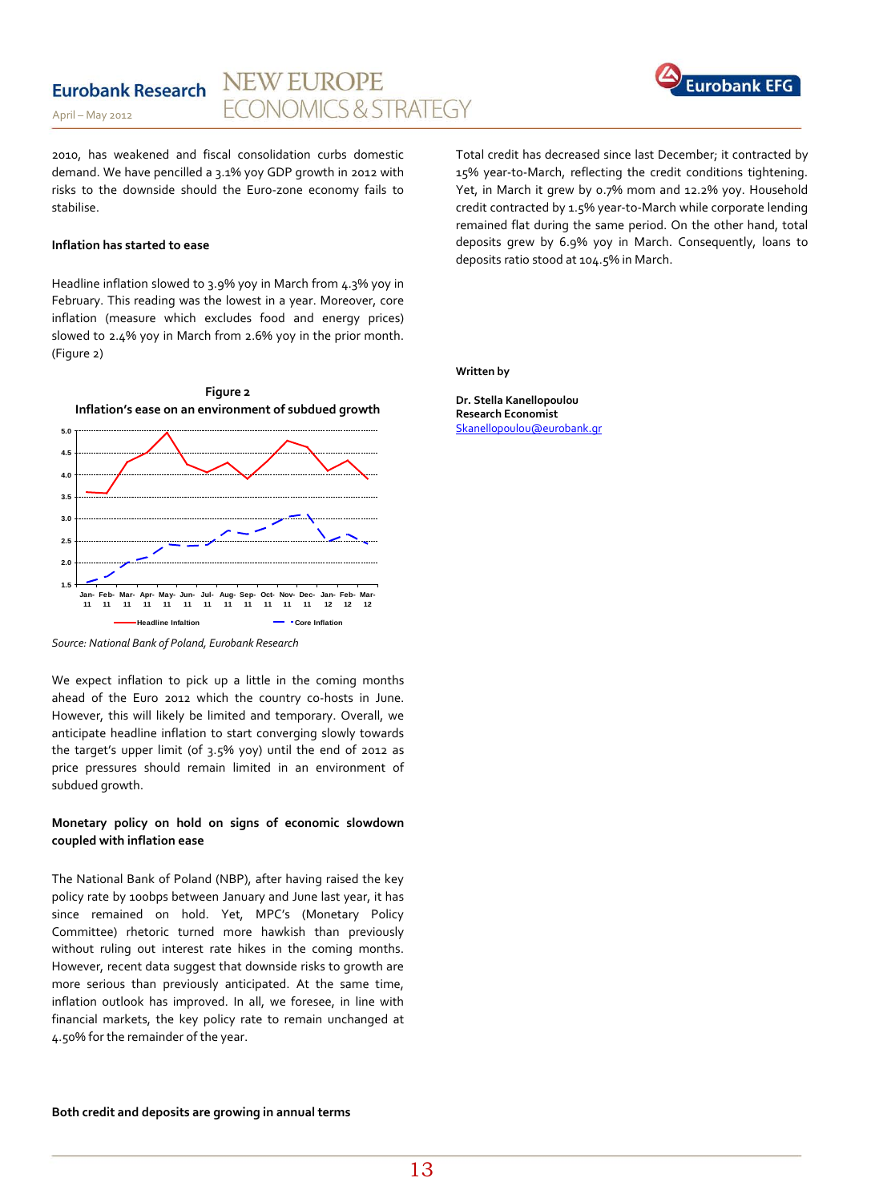#### **NEW EUROPE Eurobank Research ONOMICS & STRATEGY**



April – May 2012

2010, has weakened and fiscal consolidation curbs domestic demand. We have pencilled a 3.1% yoy GDP growth in 2012 with risks to the downside should the Euro-zone economy fails to stabilise.

#### **Inflation has started to ease**

Headline inflation slowed to 3.9% yoy in March from 4.3% yoy in February. This reading was the lowest in a year. Moreover, core inflation (measure which excludes food and energy prices) slowed to 2.4% yoy in March from 2.6% yoy in the prior month. (Figure 2)

Total credit has decreased since last December; it contracted by 15% year-to-March, reflecting the credit conditions tightening. Yet, in March it grew by 0.7% mom and 12.2% yoy. Household credit contracted by 1.5% year-to-March while corporate lending remained flat during the same period. On the other hand, total deposits grew by 6.9% yoy in March. Consequently, loans to deposits ratio stood at 104.5% in March.

**Written by**

**Dr. Stella Kanellopoulou Research Economist**  [Skanellopoulou@eurobank.gr](mailto:Skanellopoulou@eurobank.gr)



*Source: National Bank of Poland, Eurobank Research*

We expect inflation to pick up a little in the coming months ahead of the Euro 2012 which the country co-hosts in June. However, this will likely be limited and temporary. Overall, we anticipate headline inflation to start converging slowly towards the target's upper limit (of 3.5% yoy) until the end of 2012 as price pressures should remain limited in an environment of subdued growth.

### **Monetary policy on hold on signs of economic slowdown coupled with inflation ease**

The National Bank of Poland (NBP), after having raised the key policy rate by 100bps between January and June last year, it has since remained on hold. Yet, MPC's (Monetary Policy Committee) rhetoric turned more hawkish than previously without ruling out interest rate hikes in the coming months. However, recent data suggest that downside risks to growth are more serious than previously anticipated. At the same time, inflation outlook has improved. In all, we foresee, in line with financial markets, the key policy rate to remain unchanged at 4.50% for the remainder of the year.

### **Both credit and deposits are growing in annual terms**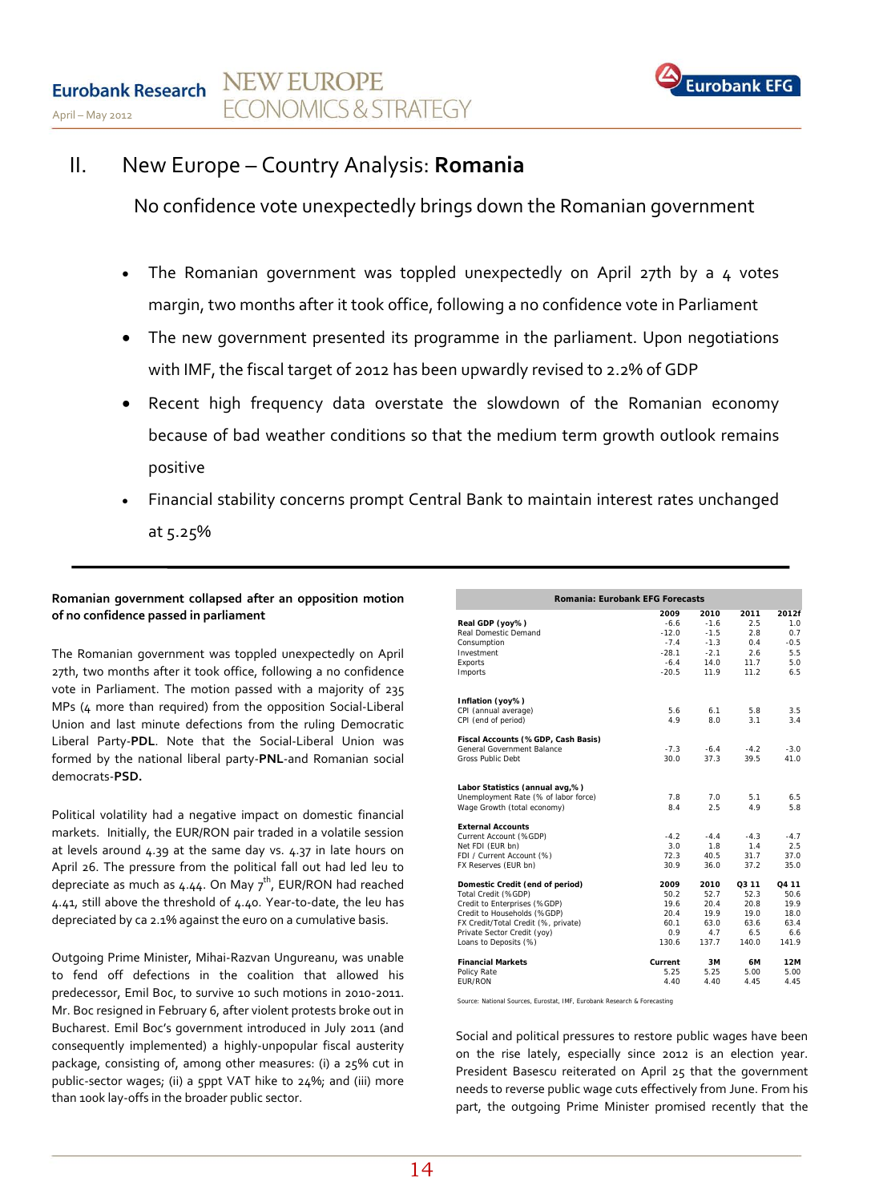

# II. New Europe – Country Analysis: **Romania**

No confidence vote unexpectedly brings down the Romanian government

- The Romanian government was toppled unexpectedly on April 27th by a 4 votes margin, two months after it took office, following a no confidence vote in Parliament
- The new government presented its programme in the parliament. Upon negotiations with IMF, the fiscal target of 2012 has been upwardly revised to 2.2% of GDP
- Recent high frequency data overstate the slowdown of the Romanian economy because of bad weather conditions so that the medium term growth outlook remains positive
- Financial stability concerns prompt Central Bank to maintain interest rates unchanged at 5.25%

### **Romanian government collapsed after an opposition motion of no confidence passed in parliament**

The Romanian government was toppled unexpectedly on April 27th, two months after it took office, following a no confidence vote in Parliament. The motion passed with a majority of 235 MPs (4 more than required) from the opposition Social-Liberal Union and last minute defections from the ruling Democratic Liberal Party-**PDL**. Note that the Social-Liberal Union was formed by the national liberal party-**PNL**-and Romanian social democrats-**PSD.** 

Political volatility had a negative impact on domestic financial markets. Initially, the EUR/RON pair traded in a volatile session at levels around 4.39 at the same day vs. 4.37 in late hours on April 26. The pressure from the political fall out had led leu to depreciate as much as 4.44. On May  $7^{\text{th}}$ , EUR/RON had reached 4.41, still above the threshold of 4.40. Year-to-date, the leu has depreciated by ca 2.1% against the euro on a cumulative basis.

Outgoing Prime Minister, Mihai-Razvan Ungureanu, was unable to fend off defections in the coalition that allowed his predecessor, Emil Boc, to survive 10 such motions in 2010-2011. Mr. Boc resigned in February 6, after violent protests broke out in Bucharest. Emil Boc's government introduced in July 2011 (and consequently implemented) a highly-unpopular fiscal austerity package, consisting of, among other measures: (i) a 25% cut in public-sector wages; (ii) a 5ppt VAT hike to 24%; and (iii) more than 100k lay-offs in the broader public sector.

| Romania: Eurobank EFG Forecasts      |         |        |        |        |  |  |
|--------------------------------------|---------|--------|--------|--------|--|--|
|                                      | 2009    | 2010   | 2011   | 2012f  |  |  |
| Real GDP (yoy%)                      | $-6.6$  | $-1.6$ | 2.5    | 1.0    |  |  |
| Real Domestic Demand                 | $-12.0$ | $-1.5$ | 2.8    | 0.7    |  |  |
| Consumption                          | $-7.4$  | $-1.3$ | 0.4    | $-0.5$ |  |  |
| Investment                           | $-28.1$ | $-2.1$ | 2.6    | 5.5    |  |  |
| Exports                              | $-6.4$  | 14.0   | 11.7   | 5.0    |  |  |
| Imports                              | $-20.5$ | 11.9   | 11.2   | 6.5    |  |  |
| Inflation (yoy%)                     |         |        |        |        |  |  |
| CPI (annual average)                 | 5.6     | 6.1    | 5.8    | 3.5    |  |  |
| CPI (end of period)                  | 4.9     | 8.0    | 3.1    | 3.4    |  |  |
| Fiscal Accounts (%GDP, Cash Basis)   |         |        |        |        |  |  |
| General Government Balance           | $-7.3$  | $-6.4$ | $-4.2$ | $-3.0$ |  |  |
| Gross Public Debt                    | 30.0    | 37.3   | 39.5   | 41.0   |  |  |
| Labor Statistics (annual avg,%)      |         |        |        |        |  |  |
| Unemployment Rate (% of labor force) | 7.8     | 7.0    | 5.1    | 6.5    |  |  |
| Wage Growth (total economy)          | 8.4     | 2.5    | 4.9    | 5.8    |  |  |
| <b>External Accounts</b>             |         |        |        |        |  |  |
| Current Account (%GDP)               | $-4.2$  | $-4.4$ | $-4.3$ | $-4.7$ |  |  |
| Net FDI (EUR bn)                     | 3.0     | 1.8    | 1.4    | 2.5    |  |  |
| FDI / Current Account (%)            | 72.3    | 40.5   | 31.7   | 37.0   |  |  |
| FX Reserves (EUR bn)                 | 30.9    | 36.0   | 37.2   | 35.0   |  |  |
| Domestic Credit (end of period)      | 2009    | 2010   | O3 11  | O4 11  |  |  |
| Total Credit (%GDP)                  | 50.2    | 52.7   | 52.3   | 50.6   |  |  |
| Credit to Enterprises (%GDP)         | 19.6    | 20.4   | 20.8   | 19.9   |  |  |
| Credit to Households (%GDP)          | 20.4    | 19.9   | 19.0   | 18.0   |  |  |
| FX Credit/Total Credit (%, private)  | 60.1    | 63.0   | 63.6   | 63.4   |  |  |
| Private Sector Credit (yoy)          | 0.9     | 4.7    | 6.5    | 6.6    |  |  |
| Loans to Deposits (%)                | 130.6   | 137.7  | 140.0  | 141.9  |  |  |
| <b>Financial Markets</b>             | Current | 3M     | 6М     | 12M    |  |  |
| Policy Rate                          | 5.25    | 5.25   | 5.00   | 5.00   |  |  |
| <b>FUR/RON</b>                       | 4.40    | 4.40   | 4.45   | 4.45   |  |  |

*Source: National Sources, Eurostat, IMF, Eurobank Research & Forecasting*

Social and political pressures to restore public wages have been on the rise lately, especially since 2012 is an election year. President Basescu reiterated on April 25 that the government needs to reverse public wage cuts effectively from June. From his part, the outgoing Prime Minister promised recently that the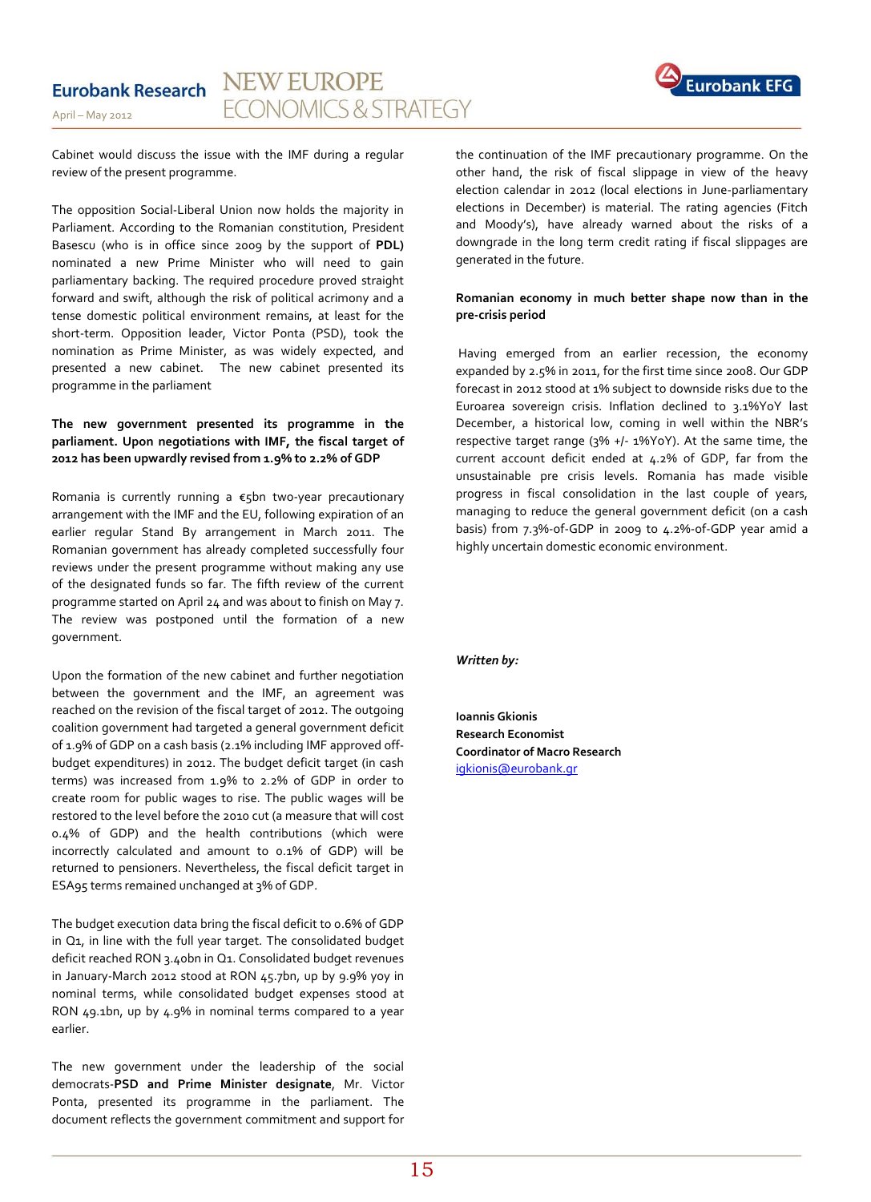

Cabinet would discuss the issue with the IMF during a regular review of the present programme.

The opposition Social-Liberal Union now holds the majority in Parliament. According to the Romanian constitution, President Basescu (who is in office since 2009 by the support of **PDL)**  nominated a new Prime Minister who will need to gain parliamentary backing. The required procedure proved straight forward and swift, although the risk of political acrimony and a tense domestic political environment remains, at least for the short-term. Opposition leader, Victor Ponta (PSD), took the nomination as Prime Minister, as was widely expected, and presented a new cabinet. The new cabinet presented its programme in the parliament

### **The new government presented its programme in the parliament. Upon negotiations with IMF, the fiscal target of 2012 has been upwardly revised from 1.9% to 2.2% of GDP**

Romania is currently running a €5bn two-year precautionary arrangement with the IMF and the EU, following expiration of an earlier regular Stand By arrangement in March 2011. The Romanian government has already completed successfully four reviews under the present programme without making any use of the designated funds so far. The fifth review of the current programme started on April 24 and was about to finish on May 7. The review was postponed until the formation of a new government.

Upon the formation of the new cabinet and further negotiation between the government and the IMF, an agreement was reached on the revision of the fiscal target of 2012. The outgoing coalition government had targeted a general government deficit of 1.9% of GDP on a cash basis (2.1% including IMF approved offbudget expenditures) in 2012. The budget deficit target (in cash terms) was increased from 1.9% to 2.2% of GDP in order to create room for public wages to rise. The public wages will be restored to the level before the 2010 cut (a measure that will cost 0.4% of GDP) and the health contributions (which were incorrectly calculated and amount to 0.1% of GDP) will be returned to pensioners. Nevertheless, the fiscal deficit target in ESA95 terms remained unchanged at 3% of GDP.

The budget execution data bring the fiscal deficit to 0.6% of GDP in Q1, in line with the full year target. The consolidated budget deficit reached RON 3.40bn in Q1. Consolidated budget revenues in January-March 2012 stood at RON 45.7bn, up by 9.9% yoy in nominal terms, while consolidated budget expenses stood at RON 49.1bn, up by 4.9% in nominal terms compared to a year earlier.

The new government under the leadership of the social democrats-**PSD and Prime Minister designate**, Mr. Victor Ponta, presented its programme in the parliament. The document reflects the government commitment and support for the continuation of the IMF precautionary programme. On the other hand, the risk of fiscal slippage in view of the heavy election calendar in 2012 (local elections in June-parliamentary elections in December) is material. The rating agencies (Fitch and Moody's), have already warned about the risks of a downgrade in the long term credit rating if fiscal slippages are generated in the future.

#### **Romanian economy in much better shape now than in the pre-crisis period**

Having emerged from an earlier recession, the economy expanded by 2.5% in 2011, for the first time since 2008. Our GDP forecast in 2012 stood at 1% subject to downside risks due to the Euroarea sovereign crisis. Inflation declined to 3.1%YoY last December, a historical low, coming in well within the NBR's respective target range (3% +/- 1%YoY). At the same time, the current account deficit ended at 4.2% of GDP, far from the unsustainable pre crisis levels. Romania has made visible progress in fiscal consolidation in the last couple of years, managing to reduce the general government deficit (on a cash basis) from 7.3%-of-GDP in 2009 to 4.2%-of-GDP year amid a highly uncertain domestic economic environment.

*Written by:*

**Ioannis Gkionis Research Economist Coordinator of Macro Research** [igkionis@eurobank.gr](mailto:igkionis@eurobank.gr)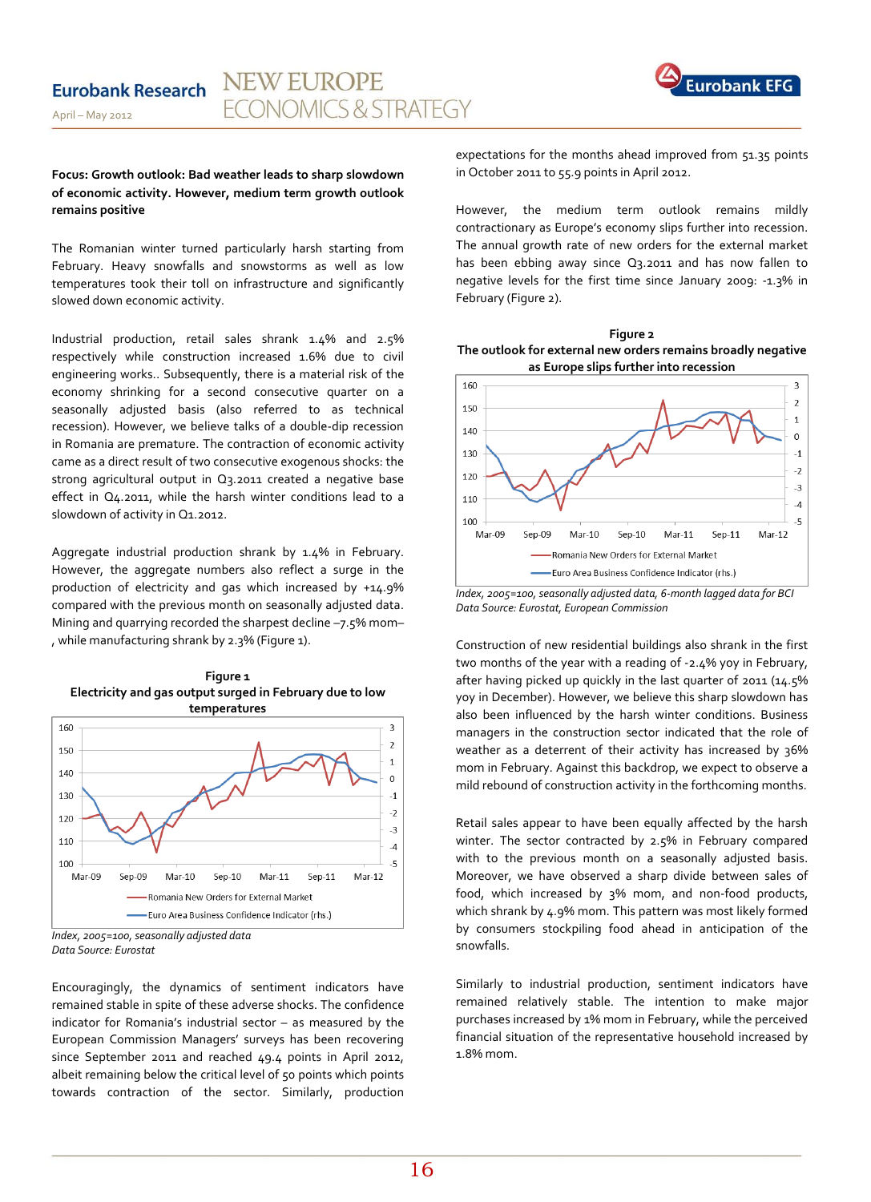

#### **Focus: Growth outlook: Bad weather leads to sharp slowdown of economic activity. However, medium term growth outlook remains positive**

The Romanian winter turned particularly harsh starting from February. Heavy snowfalls and snowstorms as well as low temperatures took their toll on infrastructure and significantly slowed down economic activity.

Industrial production, retail sales shrank 1.4% and 2.5% respectively while construction increased 1.6% due to civil engineering works.. Subsequently, there is a material risk of the economy shrinking for a second consecutive quarter on a seasonally adjusted basis (also referred to as technical recession). However, we believe talks of a double-dip recession in Romania are premature. The contraction of economic activity came as a direct result of two consecutive exogenous shocks: the strong agricultural output in Q3.2011 created a negative base effect in Q4.2011, while the harsh winter conditions lead to a slowdown of activity in Q1.2012.

Aggregate industrial production shrank by 1.4% in February. However, the aggregate numbers also reflect a surge in the production of electricity and gas which increased by +14.9% compared with the previous month on seasonally adjusted data. Mining and quarrying recorded the sharpest decline –7.5% mom– , while manufacturing shrank by 2.3% (Figure 1).





*Index, 2005=100, seasonally adjusted data Data Source: Eurostat*

Encouragingly, the dynamics of sentiment indicators have remained stable in spite of these adverse shocks. The confidence indicator for Romania's industrial sector – as measured by the European Commission Managers' surveys has been recovering since September 2011 and reached 49.4 points in April 2012, albeit remaining below the critical level of 50 points which points towards contraction of the sector. Similarly, production expectations for the months ahead improved from 51.35 points in October 2011 to 55.9 points in April 2012.

However, the medium term outlook remains mildly contractionary as Europe's economy slips further into recession. The annual growth rate of new orders for the external market has been ebbing away since Q3.2011 and has now fallen to negative levels for the first time since January 2009: -1.3% in February (Figure 2).





*Index, 2005=100, seasonally adjusted data, 6-month lagged data for BCI Data Source: Eurostat, European Commission*

Construction of new residential buildings also shrank in the first two months of the year with a reading of -2.4% yoy in February, after having picked up quickly in the last quarter of 2011 (14.5% yoy in December). However, we believe this sharp slowdown has also been influenced by the harsh winter conditions. Business managers in the construction sector indicated that the role of weather as a deterrent of their activity has increased by 36% mom in February. Against this backdrop, we expect to observe a mild rebound of construction activity in the forthcoming months.

Retail sales appear to have been equally affected by the harsh winter. The sector contracted by 2.5% in February compared with to the previous month on a seasonally adjusted basis. Moreover, we have observed a sharp divide between sales of food, which increased by 3% mom, and non-food products, which shrank by 4.9% mom. This pattern was most likely formed by consumers stockpiling food ahead in anticipation of the snowfalls.

Similarly to industrial production, sentiment indicators have remained relatively stable. The intention to make major purchases increased by 1% mom in February, while the perceived financial situation of the representative household increased by 1.8% mom.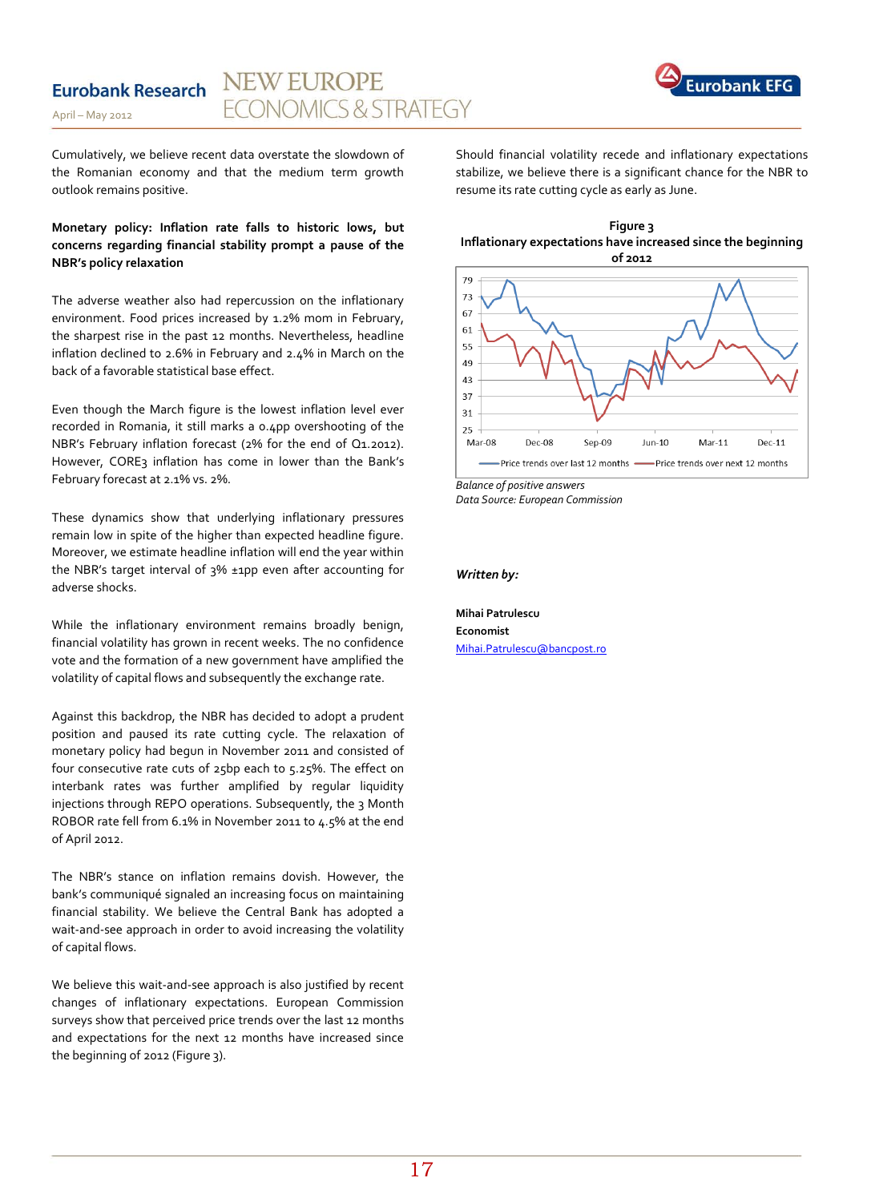## **Eurobank Research**





Cumulatively, we believe recent data overstate the slowdown of the Romanian economy and that the medium term growth outlook remains positive.

### **Monetary policy: Inflation rate falls to historic lows, but concerns regarding financial stability prompt a pause of the NBR's policy relaxation**

The adverse weather also had repercussion on the inflationary environment. Food prices increased by 1.2% mom in February, the sharpest rise in the past 12 months. Nevertheless, headline inflation declined to 2.6% in February and 2.4% in March on the back of a favorable statistical base effect.

Even though the March figure is the lowest inflation level ever recorded in Romania, it still marks a 0.4pp overshooting of the NBR's February inflation forecast (2% for the end of Q1.2012). However, CORE3 inflation has come in lower than the Bank's February forecast at 2.1% vs. 2%.

These dynamics show that underlying inflationary pressures remain low in spite of the higher than expected headline figure. Moreover, we estimate headline inflation will end the year within the NBR's target interval of 3% ±1pp even after accounting for adverse shocks.

While the inflationary environment remains broadly benign, financial volatility has grown in recent weeks. The no confidence vote and the formation of a new government have amplified the volatility of capital flows and subsequently the exchange rate.

Against this backdrop, the NBR has decided to adopt a prudent position and paused its rate cutting cycle. The relaxation of monetary policy had begun in November 2011 and consisted of four consecutive rate cuts of 25bp each to 5.25%. The effect on interbank rates was further amplified by regular liquidity injections through REPO operations. Subsequently, the 3 Month ROBOR rate fell from 6.1% in November 2011 to 4.5% at the end of April 2012.

The NBR's stance on inflation remains dovish. However, the bank's communiqué signaled an increasing focus on maintaining financial stability. We believe the Central Bank has adopted a wait-and-see approach in order to avoid increasing the volatility of capital flows.

We believe this wait-and-see approach is also justified by recent changes of inflationary expectations. European Commission surveys show that perceived price trends over the last 12 months and expectations for the next 12 months have increased since the beginning of 2012 (Figure 3).

Should financial volatility recede and inflationary expectations stabilize, we believe there is a significant chance for the NBR to resume its rate cutting cycle as early as June.





*Balance of positive answers Data Source: European Commission*

*Written by:*

**Mihai Patrulescu Economist**  [Mihai.Patrulescu@bancpost.ro](mailto:Mihai.Patrulescu@bancpost.ro)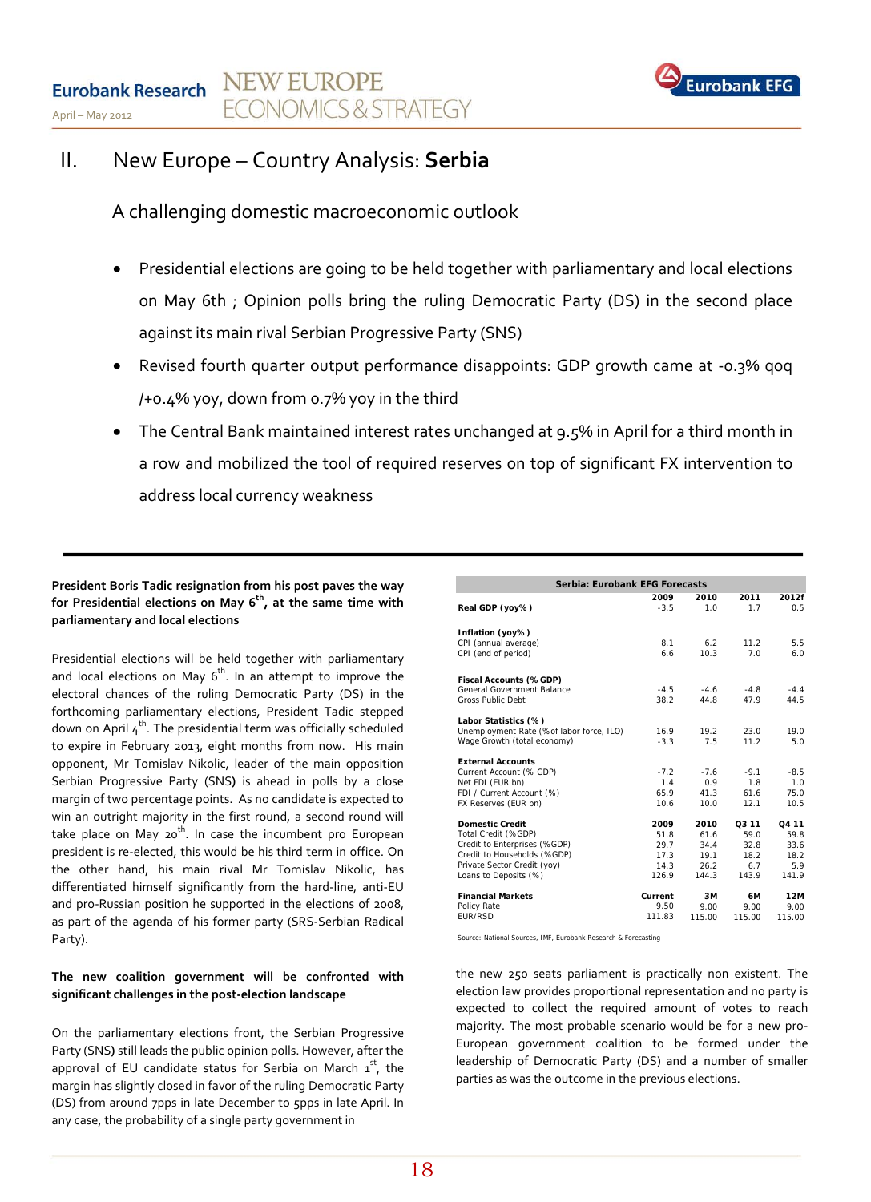

# II. New Europe – Country Analysis: **Serbia**

A challenging domestic macroeconomic outlook

- Presidential elections are going to be held together with parliamentary and local elections on May 6th ; Opinion polls bring the ruling Democratic Party (DS) in the second place against its main rival Serbian Progressive Party (SNS)
- Revised fourth quarter output performance disappoints: GDP growth came at -0.3% qoq /+0.4% yoy, down from 0.7% yoy in the third
- The Central Bank maintained interest rates unchanged at 9.5% in April for a third month in a row and mobilized the tool of required reserves on top of significant FX intervention to address local currency weakness

### **President Boris Tadic resignation from his post paves the way**  for Presidential elections on May 6<sup>th</sup>, at the same time with **parliamentary and local elections**

Presidential elections will be held together with parliamentary and local elections on May  $6^{th}$ . In an attempt to improve the electoral chances of the ruling Democratic Party (DS) in the forthcoming parliamentary elections, President Tadic stepped down on April  $4^{th}$ . The presidential term was officially scheduled to expire in February 2013, eight months from now. His main opponent, Mr Tomislav Nikolic, leader of the main opposition Serbian Progressive Party (SNS**)** is ahead in polls by a close margin of two percentage points. As no candidate is expected to win an outright majority in the first round, a second round will take place on May 20<sup>th</sup>. In case the incumbent pro European president is re-elected, this would be his third term in office. On the other hand, his main rival Mr Tomislav Nikolic, has differentiated himself significantly from the hard-line, anti-EU and pro-Russian position he supported in the elections of 2008, as part of the agenda of his former party (SRS-Serbian Radical Party).

### **The new coalition government will be confronted with significant challenges in the post-election landscape**

On the parliamentary elections front, the Serbian Progressive Party (SNS**)** still leads the public opinion polls. However, after the approval of EU candidate status for Serbia on March  $1^{st}$ , the margin has slightly closed in favor of the ruling Democratic Party (DS) from around 7pps in late December to 5pps in late April. In any case, the probability of a single party government in

| Serbia: Eurobank EFG Forecasts           |                |             |             |                   |  |  |  |  |  |  |
|------------------------------------------|----------------|-------------|-------------|-------------------|--|--|--|--|--|--|
| Real GDP (yoy%)                          | 2009<br>$-3.5$ | 2010<br>1.0 | 2011<br>1.7 | 2012f<br>0.5      |  |  |  |  |  |  |
| Inflation (yoy%)                         |                |             |             |                   |  |  |  |  |  |  |
| CPI (annual average)                     | 8.1            | 6.2         | 11.2        | 5.5               |  |  |  |  |  |  |
| CPI (end of period)                      | 6.6            | 10.3        | 7.0         | 6.0               |  |  |  |  |  |  |
| Fiscal Accounts (%GDP)                   |                |             |             |                   |  |  |  |  |  |  |
| General Government Balance               | $-4.5$         | $-4.6$      | $-4.8$      | $-4.4$            |  |  |  |  |  |  |
| Gross Public Debt                        | 38.2           | 44.8        | 47.9        | 44.5              |  |  |  |  |  |  |
| Labor Statistics (%)                     |                |             |             |                   |  |  |  |  |  |  |
| Unemployment Rate (%of labor force, ILO) | 16.9           | 19.2        | 23.0        | 19.0              |  |  |  |  |  |  |
| Wage Growth (total economy)              | $-3.3$         | 7.5         | 11.2        | 5.0               |  |  |  |  |  |  |
| <b>External Accounts</b>                 |                |             |             |                   |  |  |  |  |  |  |
| Current Account (% GDP)                  | $-7.2$         | $-7.6$      | $-9.1$      | $-8.5$            |  |  |  |  |  |  |
| Net FDI (EUR bn)                         | 1.4            | 0.9         | 1.8         | 1.0               |  |  |  |  |  |  |
| FDI / Current Account (%)                | 65.9           | 41.3        | 61.6        | 75.0              |  |  |  |  |  |  |
| FX Reserves (EUR bn)                     | 10.6           | 10.0        | 12.1        | 10.5              |  |  |  |  |  |  |
| <b>Domestic Credit</b>                   | 2009           | 2010        | Q3 11       | O <sub>4</sub> 11 |  |  |  |  |  |  |
| Total Credit (%GDP)                      | 51.8           | 61.6        | 59.0        | 59.8              |  |  |  |  |  |  |
| Credit to Enterprises (%GDP)             | 29.7           | 34.4        | 32.8        | 33.6              |  |  |  |  |  |  |
| Credit to Households (%GDP)              | 17.3           | 19.1        | 18.2        | 18.2              |  |  |  |  |  |  |
| Private Sector Credit (yoy)              | 14.3           | 26.2        | 6.7         | 5.9               |  |  |  |  |  |  |
| Loans to Deposits (%)                    | 126.9          | 144.3       | 143.9       | 141.9             |  |  |  |  |  |  |
| <b>Financial Markets</b>                 | Current        | 3M          | 6М          | 12M               |  |  |  |  |  |  |
| Policy Rate                              | 9.50           | 9.00        | 9.00        | 9.00              |  |  |  |  |  |  |
| <b>FUR/RSD</b>                           | 111.83         | 115.00      | 115.00      | 115.00            |  |  |  |  |  |  |

*Source: National Sources, IMF, Eurobank Research & Forecasting*

the new 250 seats parliament is practically non existent. The election law provides proportional representation and no party is expected to collect the required amount of votes to reach majority. The most probable scenario would be for a new pro-European government coalition to be formed under the leadership of Democratic Party (DS) and a number of smaller parties as was the outcome in the previous elections.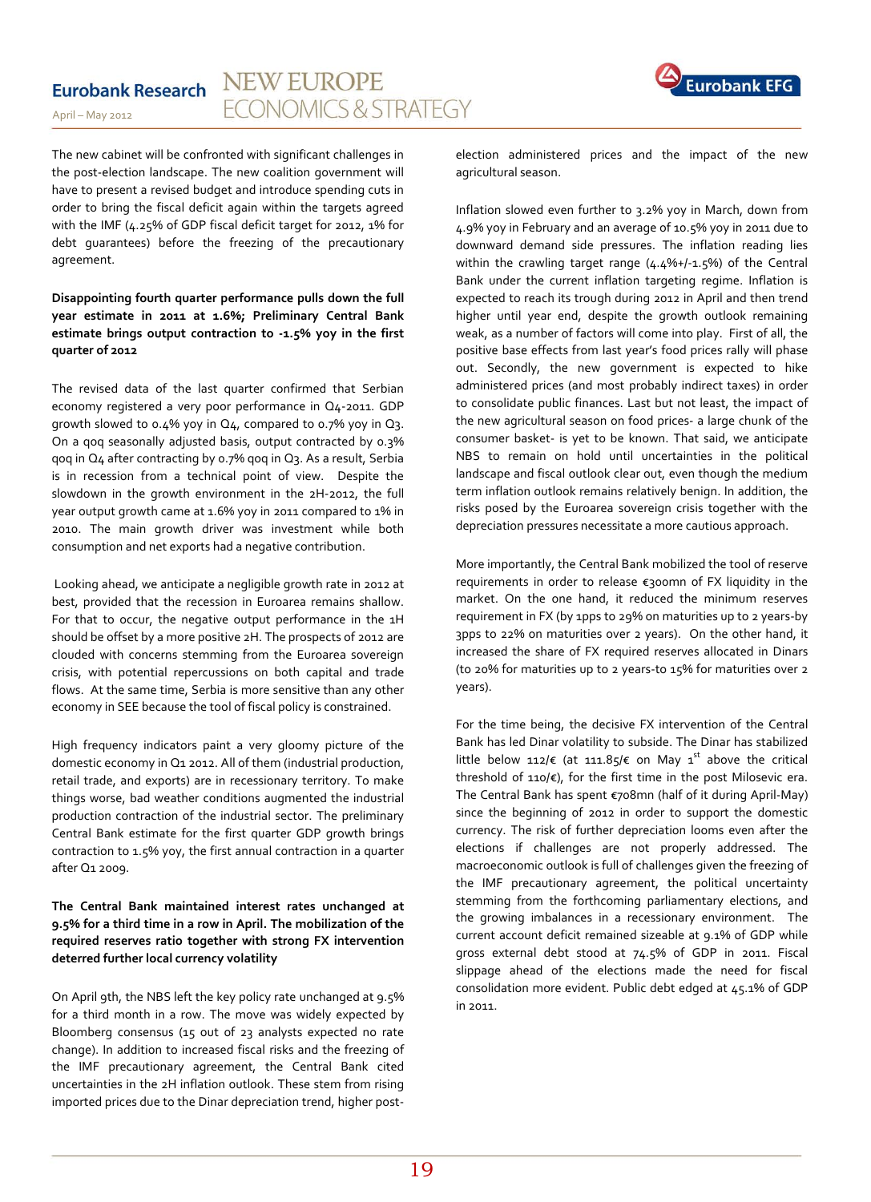# **Eurobank Research**

April – May 2012



The new cabinet will be confronted with significant challenges in the post-election landscape. The new coalition government will have to present a revised budget and introduce spending cuts in order to bring the fiscal deficit again within the targets agreed with the IMF (4.25% of GDP fiscal deficit target for 2012, 1% for debt guarantees) before the freezing of the precautionary agreement.

**Disappointing fourth quarter performance pulls down the full year estimate in 2011 at 1.6%; Preliminary Central Bank estimate brings output contraction to -1.5% yoy in the first quarter of 2012**

The revised data of the last quarter confirmed that Serbian economy registered a very poor performance in Q4-2011. GDP growth slowed to 0.4% yoy in Q4, compared to 0.7% yoy in Q3. On a qoq seasonally adjusted basis, output contracted by 0.3% qoq in Q4 after contracting by 0.7% qoq in Q3. As a result, Serbia is in recession from a technical point of view. Despite the slowdown in the growth environment in the 2H-2012, the full year output growth came at 1.6% yoy in 2011 compared to 1% in 2010. The main growth driver was investment while both consumption and net exports had a negative contribution.

Looking ahead, we anticipate a negligible growth rate in 2012 at best, provided that the recession in Euroarea remains shallow. For that to occur, the negative output performance in the 1H should be offset by a more positive 2H. The prospects of 2012 are clouded with concerns stemming from the Euroarea sovereign crisis, with potential repercussions on both capital and trade flows. At the same time, Serbia is more sensitive than any other economy in SEE because the tool of fiscal policy is constrained.

High frequency indicators paint a very gloomy picture of the domestic economy in Q1 2012. All of them (industrial production, retail trade, and exports) are in recessionary territory. To make things worse, bad weather conditions augmented the industrial production contraction of the industrial sector. The preliminary Central Bank estimate for the first quarter GDP growth brings contraction to 1.5% yoy, the first annual contraction in a quarter after Q1 2009.

### **The Central Bank maintained interest rates unchanged at 9.5% for a third time in a row in April. The mobilization of the required reserves ratio together with strong FX intervention deterred further local currency volatility**

On April 9th, the NBS left the key policy rate unchanged at 9.5% for a third month in a row. The move was widely expected by Bloomberg consensus (15 out of 23 analysts expected no rate change). In addition to increased fiscal risks and the freezing of the IMF precautionary agreement, the Central Bank cited uncertainties in the 2H inflation outlook. These stem from rising imported prices due to the Dinar depreciation trend, higher postelection administered prices and the impact of the new agricultural season.

Inflation slowed even further to 3.2% yoy in March, down from 4.9% yoy in February and an average of 10.5% yoy in 2011 due to downward demand side pressures. The inflation reading lies within the crawling target range (4.4%+/-1.5%) of the Central Bank under the current inflation targeting regime. Inflation is expected to reach its trough during 2012 in April and then trend higher until year end, despite the growth outlook remaining weak, as a number of factors will come into play. First of all, the positive base effects from last year's food prices rally will phase out. Secondly, the new government is expected to hike administered prices (and most probably indirect taxes) in order to consolidate public finances. Last but not least, the impact of the new agricultural season on food prices- a large chunk of the consumer basket- is yet to be known. That said, we anticipate NBS to remain on hold until uncertainties in the political landscape and fiscal outlook clear out, even though the medium term inflation outlook remains relatively benign. In addition, the risks posed by the Euroarea sovereign crisis together with the depreciation pressures necessitate a more cautious approach.

More importantly, the Central Bank mobilized the tool of reserve requirements in order to release €300mn of FX liquidity in the market. On the one hand, it reduced the minimum reserves requirement in FX (by 1pps to 29% on maturities up to 2 years-by 3pps to 22% on maturities over 2 years). On the other hand, it increased the share of FX required reserves allocated in Dinars (to 20% for maturities up to 2 years-to 15% for maturities over 2 years).

For the time being, the decisive FX intervention of the Central Bank has led Dinar volatility to subside. The Dinar has stabilized little below 112/€ (at 111.85/€ on May 1<sup>st</sup> above the critical threshold of 110/€), for the first time in the post Milosevic era. The Central Bank has spent €708mn (half of it during April-May) since the beginning of 2012 in order to support the domestic currency. The risk of further depreciation looms even after the elections if challenges are not properly addressed. The macroeconomic outlook is full of challenges given the freezing of the IMF precautionary agreement, the political uncertainty stemming from the forthcoming parliamentary elections, and the growing imbalances in a recessionary environment. The current account deficit remained sizeable at 9.1% of GDP while gross external debt stood at 74.5% of GDP in 2011. Fiscal slippage ahead of the elections made the need for fiscal consolidation more evident. Public debt edged at 45.1% of GDP in 2011.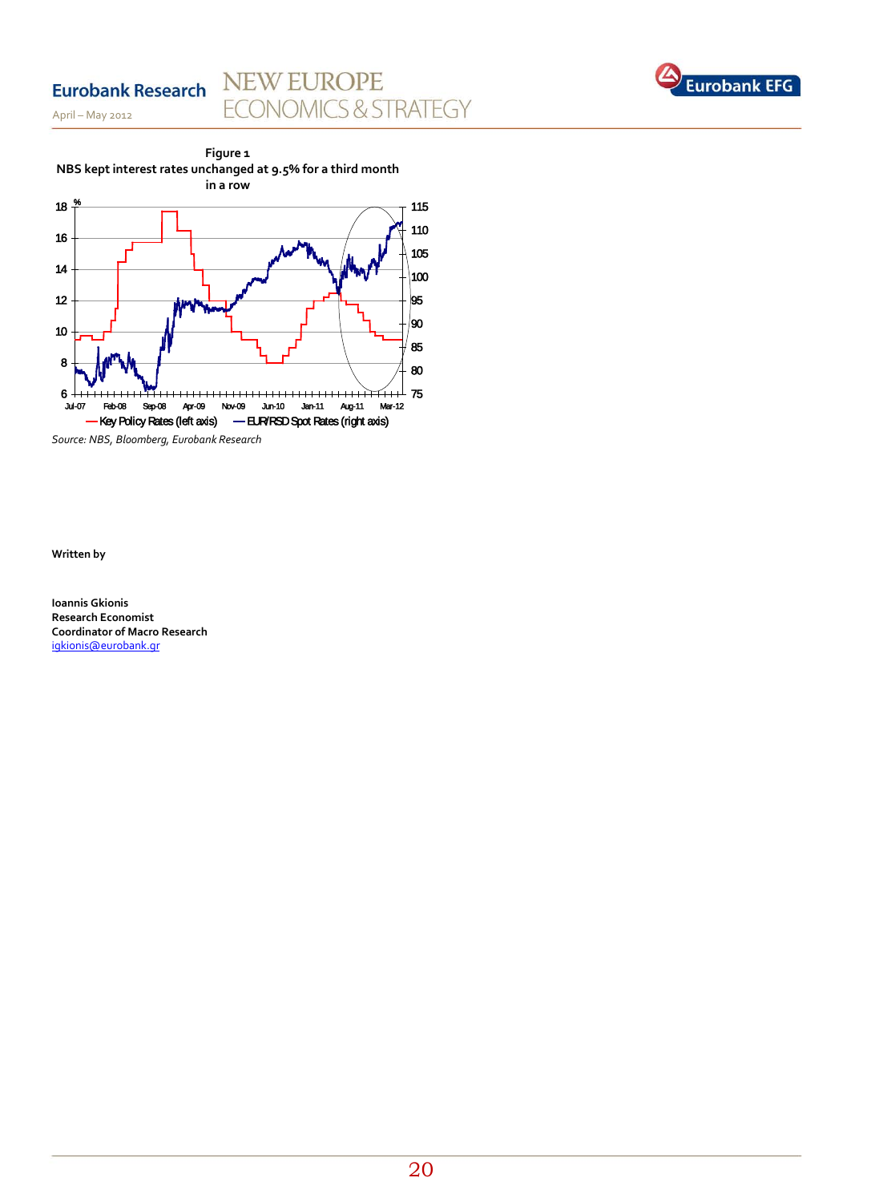# **Eurobank Research**

April – May 2012

# NEW EUROPE **ECONOMICS & STRATEGY**





*Source: NBS, Bloomberg, Eurobank Research*

**Written by**

**Ioannis Gkionis Research Economist Coordinator of Macro Research** [igkionis@eurobank.gr](mailto:igkionis@eurobank.gr)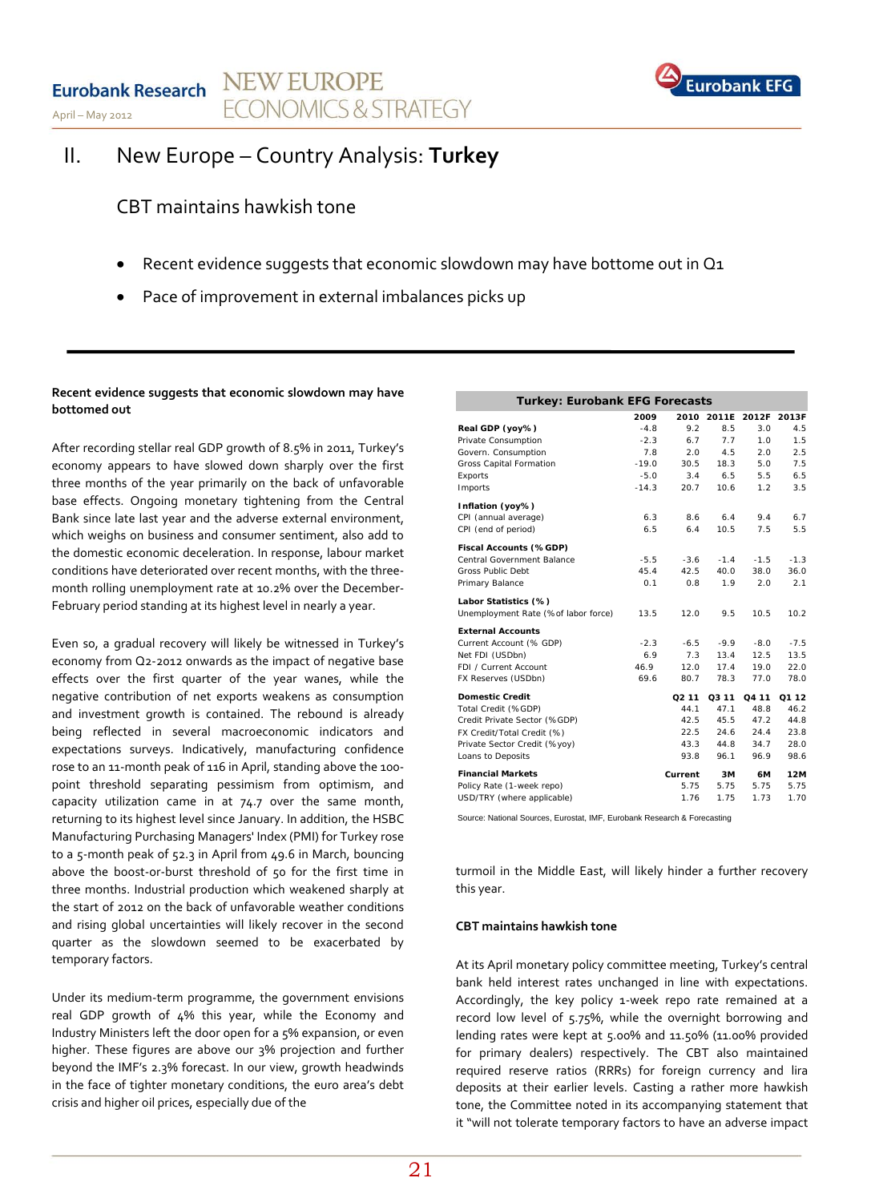



# II. New Europe – Country Analysis: **Turkey**

CBT maintains hawkish tone

- Recent evidence suggests that economic slowdown may have bottome out in Q1
- Pace of improvement in external imbalances picks up

#### **Recent evidence suggests that economic slowdown may have bottomed out**

After recording stellar real GDP growth of 8.5% in 2011, Turkey's economy appears to have slowed down sharply over the first three months of the year primarily on the back of unfavorable base effects. Ongoing monetary tightening from the Central Bank since late last year and the adverse external environment, which weighs on business and consumer sentiment, also add to the domestic economic deceleration. In response, labour market conditions have deteriorated over recent months, with the threemonth rolling unemployment rate at 10.2% over the December-February period standing at its highest level in nearly a year.

Even so, a gradual recovery will likely be witnessed in Turkey's economy from Q2-2012 onwards as the impact of negative base effects over the first quarter of the year wanes, while the negative contribution of net exports weakens as consumption and investment growth is contained. The rebound is already being reflected in several macroeconomic indicators and expectations surveys. Indicatively, manufacturing confidence rose to an 11-month peak of 116 in April, standing above the 100 point threshold separating pessimism from optimism, and capacity utilization came in at 74.7 over the same month, returning to its highest level since January. In addition, the HSBC Manufacturing Purchasing Managers' Index (PMI) for Turkey rose to a 5-month peak of 52.3 in April from 49.6 in March, bouncing above the boost-or-burst threshold of 50 for the first time in three months. Industrial production which weakened sharply at the start of 2012 on the back of unfavorable weather conditions and rising global uncertainties will likely recover in the second quarter as the slowdown seemed to be exacerbated by temporary factors.

Under its medium-term programme, the government envisions real GDP growth of 4% this year, while the Economy and Industry Ministers left the door open for a 5% expansion, or even higher. These figures are above our 3% projection and further beyond the IMF's 2.3% forecast. In our view, growth headwinds in the face of tighter monetary conditions, the euro area's debt crisis and higher oil prices, especially due of the

| <b>Turkey: Eurobank EFG Forecasts</b> |         |                   |                   |        |        |  |  |
|---------------------------------------|---------|-------------------|-------------------|--------|--------|--|--|
|                                       | 2009    |                   | 2010 2011E        | 2012F  | 2013F  |  |  |
| Real GDP (yoy%)                       | $-4.8$  | 9.2               | 8.5               | 3.0    | 4.5    |  |  |
| Private Consumption                   | $-2.3$  | 6.7               | 7.7               | 1.0    | 1.5    |  |  |
| Govern. Consumption                   | 7.8     | 2.0               | 4.5               | 2.0    | 2.5    |  |  |
| Gross Capital Formation               | $-19.0$ | 30.5              | 18.3              | 5.0    | 7.5    |  |  |
| Exports                               | $-5.0$  | 3.4               | 6.5               | 5.5    | 6.5    |  |  |
| Imports                               | $-14.3$ | 20.7              | 10.6              | 1.2    | 3.5    |  |  |
| Inflation (yoy%)                      |         |                   |                   |        |        |  |  |
| CPI (annual average)                  | 6.3     | 8.6               | 6.4               | 9.4    | 6.7    |  |  |
| CPI (end of period)                   | 6.5     | 6.4               | 10.5              | 7.5    | 5.5    |  |  |
| Fiscal Accounts (%GDP)                |         |                   |                   |        |        |  |  |
| Central Government Balance            | $-5.5$  | $-3.6$            | $-1.4$            | $-1.5$ | $-1.3$ |  |  |
| Gross Public Debt                     | 45.4    | 42.5              | 40.0              | 38.0   | 36.0   |  |  |
| Primary Balance                       | 0.1     | 0.8               | 1.9               | 2.0    | 2.1    |  |  |
| Labor Statistics (%)                  |         |                   |                   |        |        |  |  |
| Unemployment Rate (%of labor force)   | 13.5    | 12.0              | 9.5               | 10.5   | 10.2   |  |  |
| <b>External Accounts</b>              |         |                   |                   |        |        |  |  |
| Current Account (% GDP)               | $-2.3$  | $-6.5$            | $-9.9$            | $-8.0$ | $-7.5$ |  |  |
| Net FDI (USDbn)                       | 6.9     | 7.3               | 13.4              | 12.5   | 13.5   |  |  |
| FDI / Current Account                 | 46.9    | 12.0              | 17.4              | 19.0   | 22.0   |  |  |
| FX Reserves (USDbn)                   | 69.6    | 80.7              | 78.3              | 77.0   | 78.0   |  |  |
| <b>Domestic Credit</b>                |         | O <sub>2</sub> 11 | O <sub>3</sub> 11 | O4 11  | O1 12  |  |  |
| Total Credit (%GDP)                   |         | 44.1              | 47.1              | 48.8   | 46.2   |  |  |
| Credit Private Sector (%GDP)          |         | 42.5              | 45.5              | 47.2   | 44.8   |  |  |
| FX Credit/Total Credit (%)            |         | 22.5              | 24.6              | 24.4   | 23.8   |  |  |
| Private Sector Credit (%yoy)          |         | 43.3              | 44.8              | 34.7   | 28.0   |  |  |
| Loans to Deposits                     |         | 93.8              | 96.1              | 96.9   | 98.6   |  |  |
| <b>Financial Markets</b>              |         | Current           | 3M                | 6М     | 12M    |  |  |
| Policy Rate (1-week repo)             |         | 5.75              | 5.75              | 5.75   | 5.75   |  |  |
| USD/TRY (where applicable)            |         | 1.76              | 1.75              | 1.73   | 1.70   |  |  |

Source: National Sources, Eurostat, IMF, Eurobank Research & Forecasting

turmoil in the Middle East, will likely hinder a further recovery this year.

#### **CBT maintains hawkish tone**

At its April monetary policy committee meeting, Turkey's central bank held interest rates unchanged in line with expectations. Accordingly, the key policy 1-week repo rate remained at a record low level of 5.75%, while the overnight borrowing and lending rates were kept at 5.00% and 11.50% (11.00% provided for primary dealers) respectively. The CBT also maintained required reserve ratios (RRRs) for foreign currency and lira deposits at their earlier levels. Casting a rather more hawkish tone, the Committee noted in its accompanying statement that it "will not tolerate temporary factors to have an adverse impact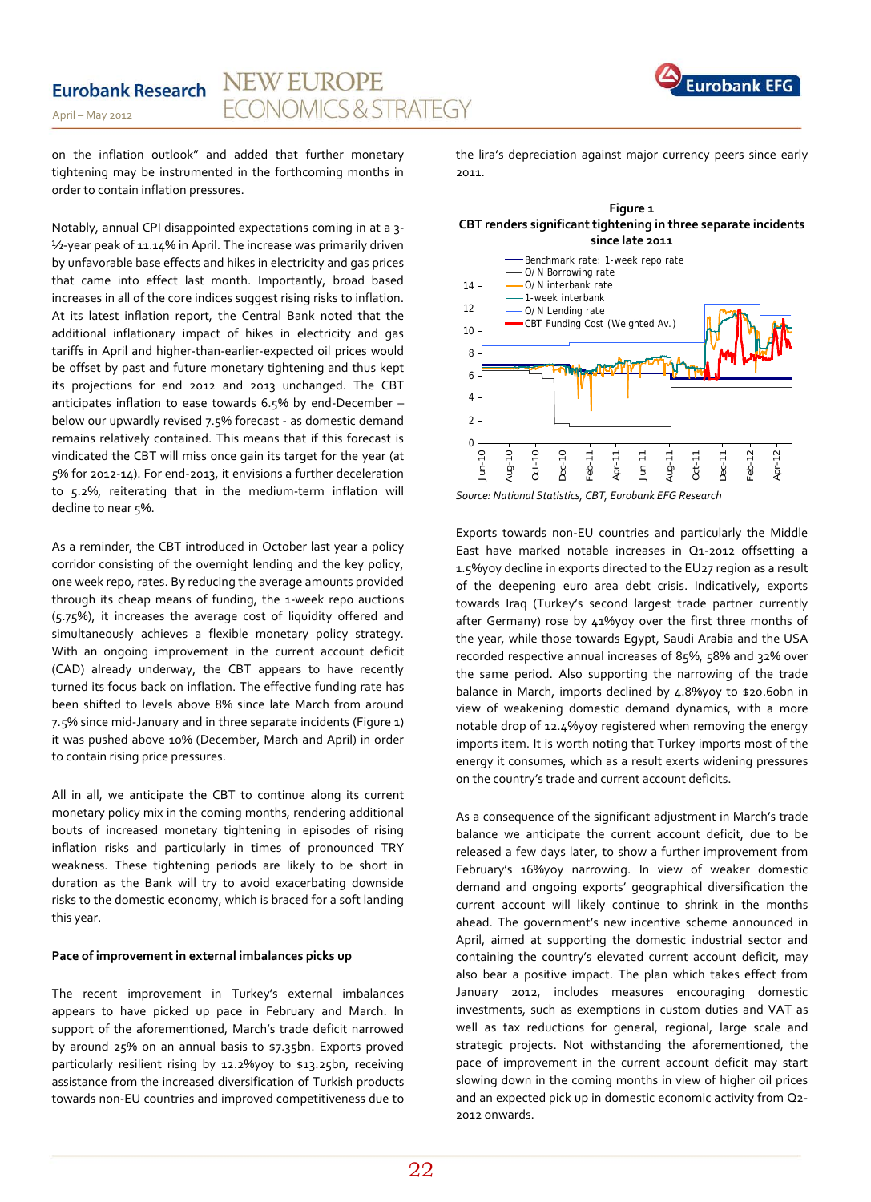on the inflation outlook" and added that further monetary tightening may be instrumented in the forthcoming months in order to contain inflation pressures.

April – May 2012

Notably, annual CPI disappointed expectations coming in at a 3- ½-year peak of 11.14% in April. The increase was primarily driven by unfavorable base effects and hikes in electricity and gas prices that came into effect last month. Importantly, broad based increases in all of the core indices suggest rising risks to inflation. At its latest inflation report, the Central Bank noted that the additional inflationary impact of hikes in electricity and gas tariffs in April and higher-than-earlier-expected oil prices would be offset by past and future monetary tightening and thus kept its projections for end 2012 and 2013 unchanged. The CBT anticipates inflation to ease towards 6.5% by end-December – below our upwardly revised 7.5% forecast - as domestic demand remains relatively contained. This means that if this forecast is vindicated the CBT will miss once gain its target for the year (at 5% for 2012-14). For end-2013, it envisions a further deceleration to 5.2%, reiterating that in the medium-term inflation will decline to near 5%.

As a reminder, the CBT introduced in October last year a policy corridor consisting of the overnight lending and the key policy, one week repo, rates. By reducing the average amounts provided through its cheap means of funding, the 1-week repo auctions (5.75%), it increases the average cost of liquidity offered and simultaneously achieves a flexible monetary policy strategy. With an ongoing improvement in the current account deficit (CAD) already underway, the CBT appears to have recently turned its focus back on inflation. The effective funding rate has been shifted to levels above 8% since late March from around 7.5% since mid-January and in three separate incidents (Figure 1) it was pushed above 10% (December, March and April) in order to contain rising price pressures.

All in all, we anticipate the CBT to continue along its current monetary policy mix in the coming months, rendering additional bouts of increased monetary tightening in episodes of rising inflation risks and particularly in times of pronounced TRY weakness. These tightening periods are likely to be short in duration as the Bank will try to avoid exacerbating downside risks to the domestic economy, which is braced for a soft landing this year.

#### **Pace of improvement in external imbalances picks up**

The recent improvement in Turkey's external imbalances appears to have picked up pace in February and March. In support of the aforementioned, March's trade deficit narrowed by around 25% on an annual basis to \$7.35bn. Exports proved particularly resilient rising by 12.2%yoy to \$13.25bn, receiving assistance from the increased diversification of Turkish products towards non-EU countries and improved competitiveness due to

the lira's depreciation against major currency peers since early 2011.

**Figure 1 CBT renders significant tightening in three separate incidents since late 2011**



*Source: National Statistics, CBT, Eurobank EFG Research*

Exports towards non-EU countries and particularly the Middle East have marked notable increases in Q1-2012 offsetting a 1.5%yoy decline in exports directed to the EU27 region as a result of the deepening euro area debt crisis. Indicatively, exports towards Iraq (Turkey's second largest trade partner currently after Germany) rose by 41%yoy over the first three months of the year, while those towards Egypt, Saudi Arabia and the USA recorded respective annual increases of 85%, 58% and 32% over the same period. Also supporting the narrowing of the trade balance in March, imports declined by 4.8%yoy to \$20.60bn in view of weakening domestic demand dynamics, with a more notable drop of 12.4%yoy registered when removing the energy imports item. It is worth noting that Turkey imports most of the energy it consumes, which as a result exerts widening pressures on the country's trade and current account deficits.

As a consequence of the significant adjustment in March's trade balance we anticipate the current account deficit, due to be released a few days later, to show a further improvement from February's 16%yoy narrowing. In view of weaker domestic demand and ongoing exports' geographical diversification the current account will likely continue to shrink in the months ahead. The government's new incentive scheme announced in April, aimed at supporting the domestic industrial sector and containing the country's elevated current account deficit, may also bear a positive impact. The plan which takes effect from January 2012, includes measures encouraging domestic investments, such as exemptions in custom duties and VAT as well as tax reductions for general, regional, large scale and strategic projects. Not withstanding the aforementioned, the pace of improvement in the current account deficit may start slowing down in the coming months in view of higher oil prices and an expected pick up in domestic economic activity from Q2- 2012 onwards.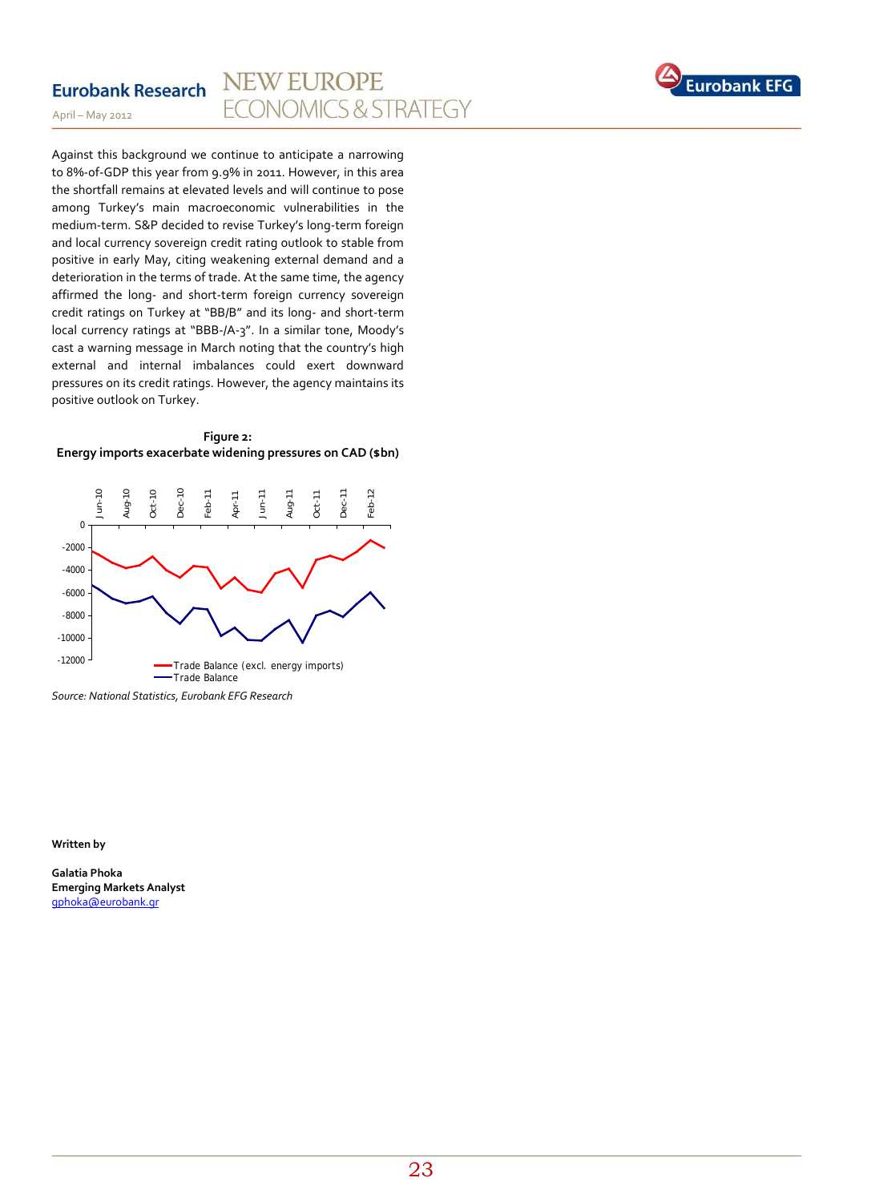

**Eurobank Research** 

Against this background we continue to anticipate a narrowing to 8%-of-GDP this year from 9.9% in 2011. However, in this area the shortfall remains at elevated levels and will continue to pose among Turkey's main macroeconomic vulnerabilities in the medium-term. S&P decided to revise Turkey's long-term foreign and local currency sovereign credit rating outlook to stable from positive in early May, citing weakening external demand and a deterioration in the terms of trade. At the same time, the agency affirmed the long- and short-term foreign currency sovereign credit ratings on Turkey at "BB/B" and its long- and short-term local currency ratings at "BBB-/A-3". In a similar tone, Moody's cast a warning message in March noting that the country's high external and internal imbalances could exert downward pressures on its credit ratings. However, the agency maintains its positive outlook on Turkey.





*Source: National Statistics, Eurobank EFG Research*

**Written by**

**Galatia Phoka Emerging Markets Analyst** [gphoka@eurobank.gr](mailto:gphoka@eurobank.gr)

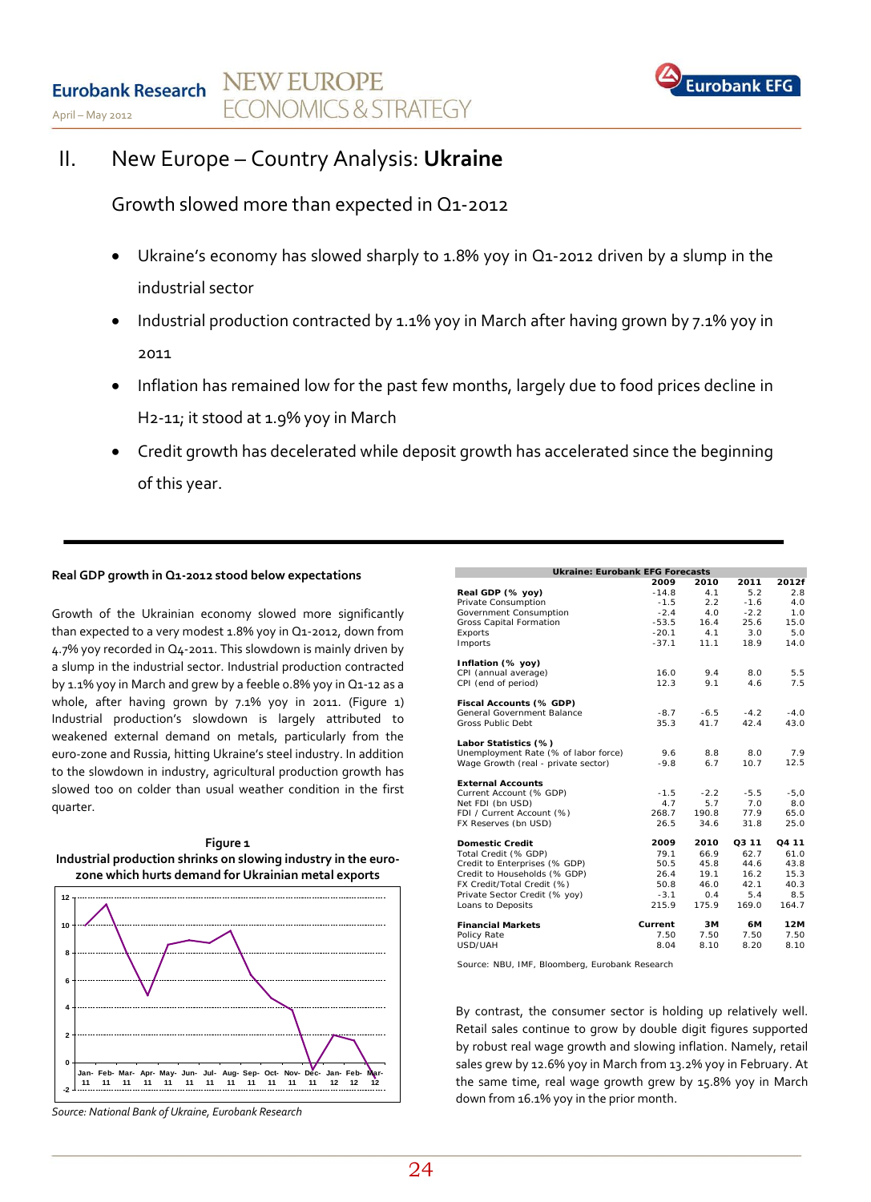

# II. New Europe – Country Analysis: **Ukraine**

Growth slowed more than expected in Q1-2012

- Ukraine's economy has slowed sharply to 1.8% yoy in Q1-2012 driven by a slump in the industrial sector
- Industrial production contracted by 1.1% yoy in March after having grown by 7.1% yoy in 2011
- Inflation has remained low for the past few months, largely due to food prices decline in H2-11; it stood at 1.9% yoy in March
- Credit growth has decelerated while deposit growth has accelerated since the beginning of this year.

### **Real GDP growth in Q1-2012 stood below expectations**

Growth of the Ukrainian economy slowed more significantly than expected to a very modest 1.8% yoy in Q1-2012, down from 4.7% yoy recorded in Q4-2011. This slowdown is mainly driven by a slump in the industrial sector. Industrial production contracted by 1.1% yoy in March and grew by a feeble 0.8% yoy in Q1-12 as a whole, after having grown by 7.1% yoy in 2011. (Figure 1) Industrial production's slowdown is largely attributed to weakened external demand on metals, particularly from the euro-zone and Russia, hitting Ukraine's steel industry. In addition to the slowdown in industry, agricultural production growth has slowed too on colder than usual weather condition in the first quarter.





*Source: National Bank of Ukraine, Eurobank Research*

| <b>Ukraine: Eurobank EFG Forecasts</b> |         |        |        |        |
|----------------------------------------|---------|--------|--------|--------|
|                                        | 2009    | 2010   | 2011   | 2012f  |
| Real GDP (% yoy)                       | $-14.8$ | 4.1    | 5.2    | 2.8    |
| Private Consumption                    | $-1.5$  | 2.2    | $-1.6$ | 4.0    |
| Government Consumption                 | $-2.4$  | 4.0    | $-2.2$ | 1.0    |
| Gross Capital Formation                | $-53.5$ | 16.4   | 25.6   | 15.0   |
| Exports                                | $-20.1$ | 4.1    | 3.0    | 5.0    |
| Imports                                | $-37.1$ | 11.1   | 18.9   | 14.0   |
| Inflation (% yoy)                      |         |        |        |        |
| CPI (annual average)                   | 16.0    | 9.4    | 8.0    | 5.5    |
| CPI (end of period)                    | 12.3    | 9.1    | 4.6    | 7.5    |
| Fiscal Accounts (% GDP)                |         |        |        |        |
| General Government Balance             | $-8.7$  | $-6.5$ | $-4.2$ | $-4.0$ |
| Gross Public Debt                      | 35.3    | 41.7   | 42.4   | 43.0   |
| Labor Statistics (%)                   |         |        |        |        |
| Unemployment Rate (% of labor force)   | 9.6     | 8.8    | 8.0    | 7.9    |
| Wage Growth (real - private sector)    | $-9.8$  | 6.7    | 10.7   | 12.5   |
| <b>External Accounts</b>               |         |        |        |        |
| Current Account (% GDP)                | $-1.5$  | $-2.2$ | $-5.5$ | $-5.0$ |
| Net FDI (bn USD)                       | 4.7     | 5.7    | 7.0    | 8.0    |
| FDI / Current Account (%)              | 268.7   | 190.8  | 77.9   | 65.0   |
| FX Reserves (bn USD)                   | 26.5    | 34.6   | 31.8   | 25.0   |
| <b>Domestic Credit</b>                 | 2009    | 2010   | Q3 11  | Q4 11  |
| Total Credit (% GDP)                   | 79.1    | 66.9   | 62.7   | 61.0   |
| Credit to Enterprises (% GDP)          | 50.5    | 45.8   | 44.6   | 43.8   |
| Credit to Households (% GDP)           | 26.4    | 19.1   | 16.2   | 15.3   |
| FX Credit/Total Credit (%)             | 50.8    | 46.0   | 42.1   | 40.3   |
| Private Sector Credit (% yoy)          | $-3.1$  | 0.4    | 5.4    | 8.5    |
| Loans to Deposits                      | 215.9   | 175.9  | 169.0  | 164.7  |
| <b>Financial Markets</b>               | Current | 3M     | 6M     | 12M    |
| Policy Rate                            | 7.50    | 7.50   | 7.50   | 7.50   |
| USD/UAH                                | 8.04    | 8.10   | 8.20   | 8.10   |

Source: NBU, IMF, Bloomberg, Eurobank Research

By contrast, the consumer sector is holding up relatively well. Retail sales continue to grow by double digit figures supported by robust real wage growth and slowing inflation. Namely, retail sales grew by 12.6% yoy in March from 13.2% yoy in February. At the same time, real wage growth grew by 15.8% yoy in March down from 16.1% yoy in the prior month.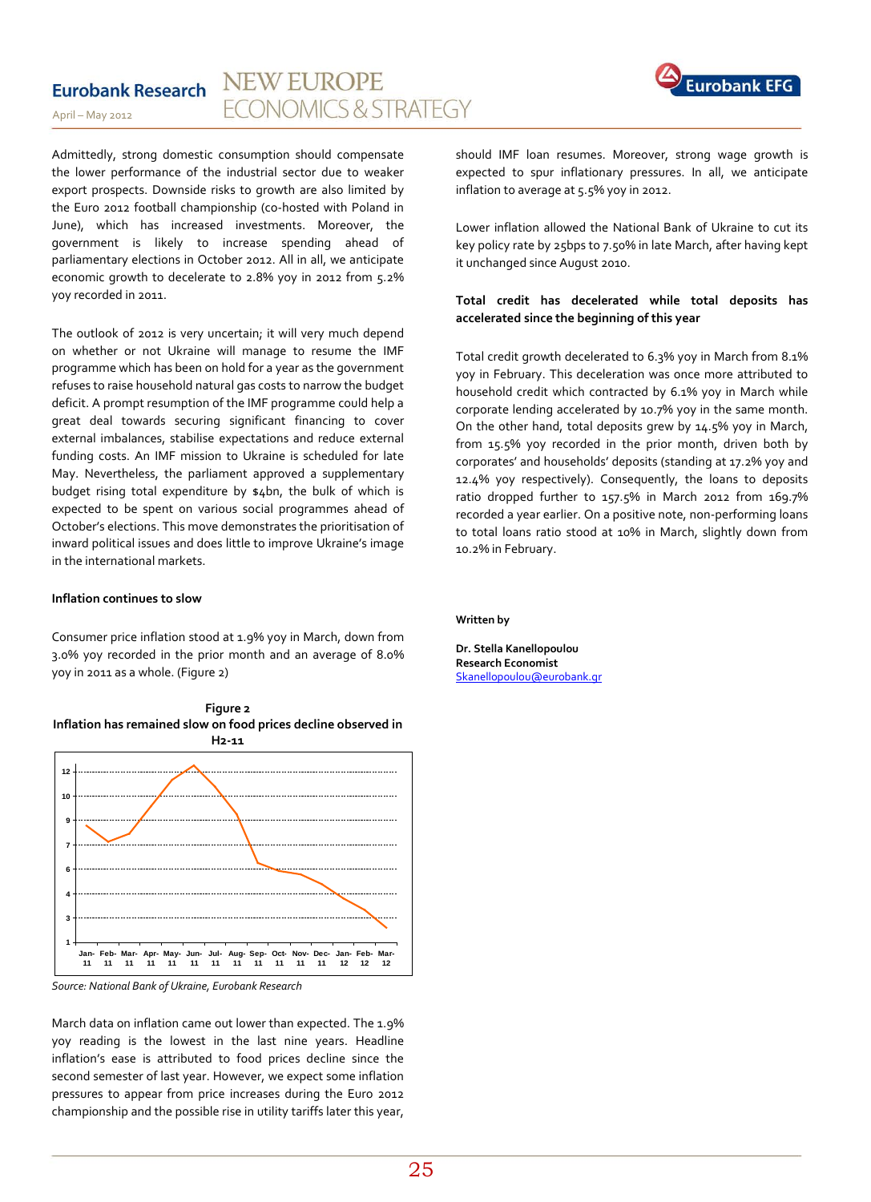#### **NEW EUROPE Eurobank Research ECONOMICS & STRATEGY**



Admittedly, strong domestic consumption should compensate the lower performance of the industrial sector due to weaker export prospects. Downside risks to growth are also limited by the Euro 2012 football championship (co-hosted with Poland in June), which has increased investments. Moreover, the government is likely to increase spending ahead of parliamentary elections in October 2012. All in all, we anticipate economic growth to decelerate to 2.8% yoy in 2012 from 5.2% yoy recorded in 2011.

The outlook of 2012 is very uncertain; it will very much depend on whether or not Ukraine will manage to resume the IMF programme which has been on hold for a year as the government refuses to raise household natural gas costs to narrow the budget deficit. A prompt resumption of the IMF programme could help a great deal towards securing significant financing to cover external imbalances, stabilise expectations and reduce external funding costs. An IMF mission to Ukraine is scheduled for late May. Nevertheless, the parliament approved a supplementary budget rising total expenditure by \$4bn, the bulk of which is expected to be spent on various social programmes ahead of October's elections. This move demonstrates the prioritisation of inward political issues and does little to improve Ukraine's image in the international markets.

#### **Inflation continues to slow**

Consumer price inflation stood at 1.9% yoy in March, down from 3.0% yoy recorded in the prior month and an average of 8.0% yoy in 2011 as a whole. (Figure 2)



*Source: National Bank of Ukraine, Eurobank Research*

March data on inflation came out lower than expected. The 1.9% yoy reading is the lowest in the last nine years. Headline inflation's ease is attributed to food prices decline since the second semester of last year. However, we expect some inflation pressures to appear from price increases during the Euro 2012 championship and the possible rise in utility tariffs later this year,



should IMF loan resumes. Moreover, strong wage growth is expected to spur inflationary pressures. In all, we anticipate inflation to average at 5.5% yoy in 2012.

Lower inflation allowed the National Bank of Ukraine to cut its key policy rate by 25bps to 7.50% in late March, after having kept it unchanged since August 2010.

#### **Total credit has decelerated while total deposits has accelerated since the beginning of this year**

Total credit growth decelerated to 6.3% yoy in March from 8.1% yoy in February. This deceleration was once more attributed to household credit which contracted by 6.1% yoy in March while corporate lending accelerated by 10.7% yoy in the same month. On the other hand, total deposits grew by 14.5% yoy in March, from 15.5% yoy recorded in the prior month, driven both by corporates' and households' deposits (standing at 17.2% yoy and 12.4% yoy respectively). Consequently, the loans to deposits ratio dropped further to 157.5% in March 2012 from 169.7% recorded a year earlier. On a positive note, non-performing loans to total loans ratio stood at 10% in March, slightly down from 10.2% in February.

#### **Written by**

**Dr. Stella Kanellopoulou Research Economist**  [Skanellopoulou@eurobank.gr](mailto:Skanellopoulou@eurobank.gr)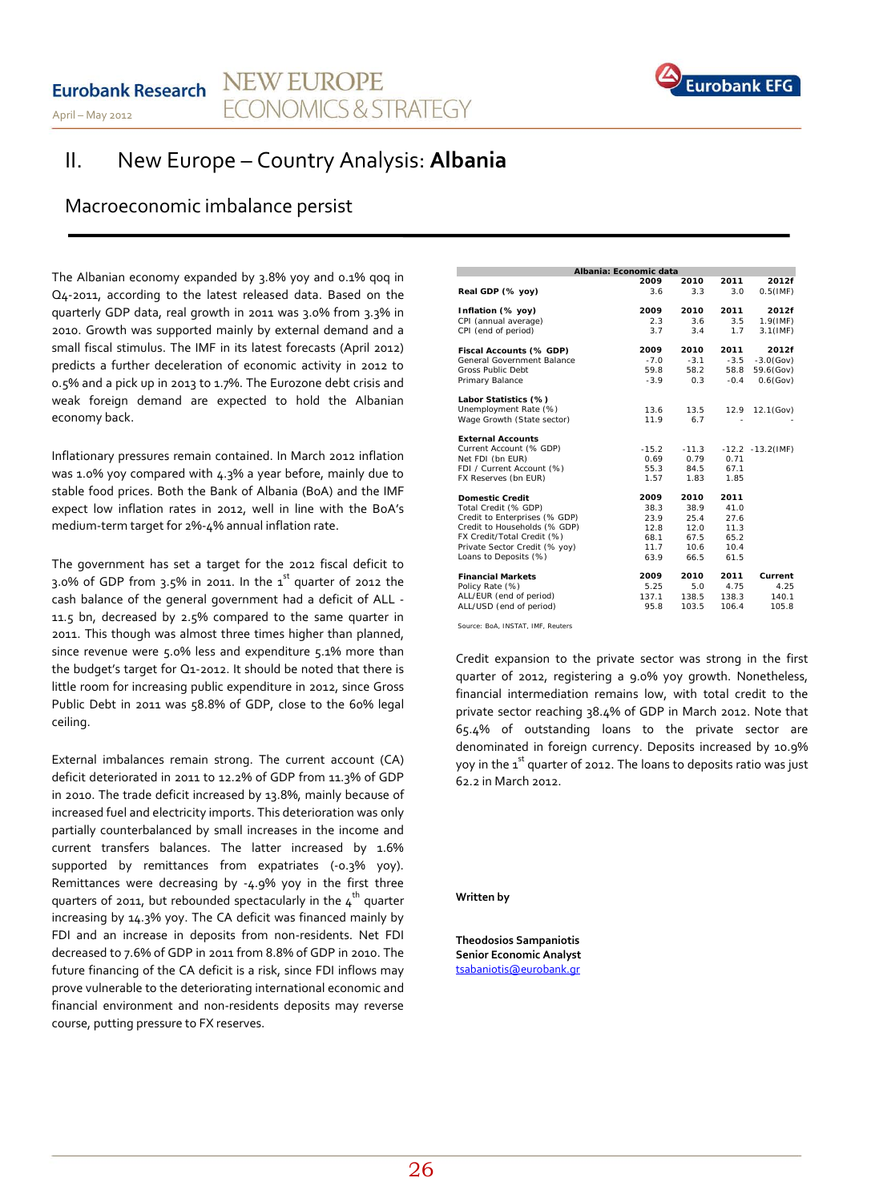#### **NEW EUROPE Eurobank Research ECONOMICS & STRATEGY** April – May 2012



# II. New Europe – Country Analysis: **Albania**

## Macroeconomic imbalance persist

The Albanian economy expanded by 3.8% yoy and 0.1% gog in Q4-2011, according to the latest released data. Based on the quarterly GDP data, real growth in 2011 was 3.0% from 3.3% in 2010. Growth was supported mainly by external demand and a small fiscal stimulus. The IMF in its latest forecasts (April 2012) predicts a further deceleration of economic activity in 2012 to 0.5% and a pick up in 2013 to 1.7%. The Eurozone debt crisis and weak foreign demand are expected to hold the Albanian economy back.

Inflationary pressures remain contained. In March 2012 inflation was 1.0% yoy compared with 4.3% a year before, mainly due to stable food prices. Both the Bank of Albania (BoA) and the IMF expect low inflation rates in 2012, well in line with the BoA's medium-term target for 2%-4% annual inflation rate.

The government has set a target for the 2012 fiscal deficit to 3.0% of GDP from 3.5% in 2011. In the  $1<sup>st</sup>$  quarter of 2012 the cash balance of the general government had a deficit of ALL - 11.5 bn, decreased by 2.5% compared to the same quarter in 2011. This though was almost three times higher than planned, since revenue were 5.0% less and expenditure 5.1% more than the budget's target for Q1-2012. It should be noted that there is little room for increasing public expenditure in 2012, since Gross Public Debt in 2011 was 58.8% of GDP, close to the 60% legal ceiling.

External imbalances remain strong. The current account (CA) deficit deteriorated in 2011 to 12.2% of GDP from 11.3% of GDP in 2010. The trade deficit increased by 13.8%, mainly because of increased fuel and electricity imports. This deterioration was only partially counterbalanced by small increases in the income and current transfers balances. The latter increased by 1.6% supported by remittances from expatriates (-0.3% yoy). Remittances were decreasing by -4.9% yoy in the first three quarters of 2011, but rebounded spectacularly in the  $4<sup>th</sup>$  quarter increasing by 14.3% yoy. The CA deficit was financed mainly by FDI and an increase in deposits from non-residents. Net FDI decreased to 7.6% of GDP in 2011 from 8.8% of GDP in 2010. The future financing of the CA deficit is a risk, since FDI inflows may prove vulnerable to the deteriorating international economic and financial environment and non-residents deposits may reverse course, putting pressure to FX reserves.

| Albania: Economic data        |         |         |        |                      |
|-------------------------------|---------|---------|--------|----------------------|
|                               | 2009    | 2010    | 2011   | 2012f                |
| Real GDP (% yoy)              | 3.6     | 3.3     | 3.0    | $0.5$ (IMF)          |
| Inflation (% yoy)             | 2009    | 2010    | 2011   | 2012f                |
| CPI (annual average)          | 2.3     | 3.6     | 3.5    | $1.9$ (IMF)          |
| CPI (end of period)           | 3.7     | 3.4     | 1.7    | $3.1$ (IMF)          |
| Fiscal Accounts (% GDP)       | 2009    | 2010    | 2011   | 2012f                |
| General Government Balance    | $-7.0$  | $-3.1$  | $-3.5$ | $-3.0$ (Gov)         |
| <b>Gross Public Debt</b>      | 59.8    | 58.2    | 58.8   | 59.6(Gov)            |
| Primary Balance               | $-3.9$  | 0.3     | $-0.4$ | $0.6$ (Gov)          |
| Labor Statistics (%)          |         |         |        |                      |
| Unemployment Rate (%)         | 13.6    | 13.5    | 12.9   | 12.1(Gov)            |
| Wage Growth (State sector)    | 11.9    | 6.7     |        |                      |
| <b>External Accounts</b>      |         |         |        |                      |
| Current Account (% GDP)       | $-15.2$ | $-11.3$ |        | $-12.2 - 13.2$ (IMF) |
| Net FDI (bn EUR)              | 0.69    | 0.79    | 0.71   |                      |
| FDI / Current Account (%)     | 55.3    | 84.5    | 67.1   |                      |
| FX Reserves (bn EUR)          | 1.57    | 1.83    | 1.85   |                      |
| Domestic Credit               | 2009    | 2010    | 2011   |                      |
| Total Credit (% GDP)          | 38.3    | 38.9    | 41.0   |                      |
| Credit to Enterprises (% GDP) | 23.9    | 25.4    | 27.6   |                      |
| Credit to Households (% GDP)  | 12.8    | 12.0    | 11.3   |                      |
| FX Credit/Total Credit (%)    | 68.1    | 67.5    | 65.2   |                      |
| Private Sector Credit (% yoy) | 11.7    | 10.6    | 10.4   |                      |
| Loans to Deposits (%)         | 63.9    | 66.5    | 61.5   |                      |
| <b>Financial Markets</b>      | 2009    | 2010    | 2011   | Current              |
| Policy Rate (%)               | 5.25    | 5.0     | 4.75   | 4.25                 |
| ALL/EUR (end of period)       | 137.1   | 138.5   | 138.3  | 140.1                |
| ALL/USD (end of period)       | 95.8    | 103.5   | 106.4  | 105.8                |

*Source: BoA, INSTAT, IMF, Reuters*

Credit expansion to the private sector was strong in the first quarter of 2012, registering a 9.0% yoy growth. Nonetheless, financial intermediation remains low, with total credit to the private sector reaching 38.4% of GDP in March 2012. Note that 65.4% of outstanding loans to the private sector are denominated in foreign currency. Deposits increased by 10.9% yoy in the  $1^{st}$  quarter of 2012. The loans to deposits ratio was just 62.2 in March 2012.

**Written by**

**Theodosios Sampaniotis Senior Economic Analyst** [tsabaniotis@eurobank.gr](mailto:tsabaniotis@eurobank.gr)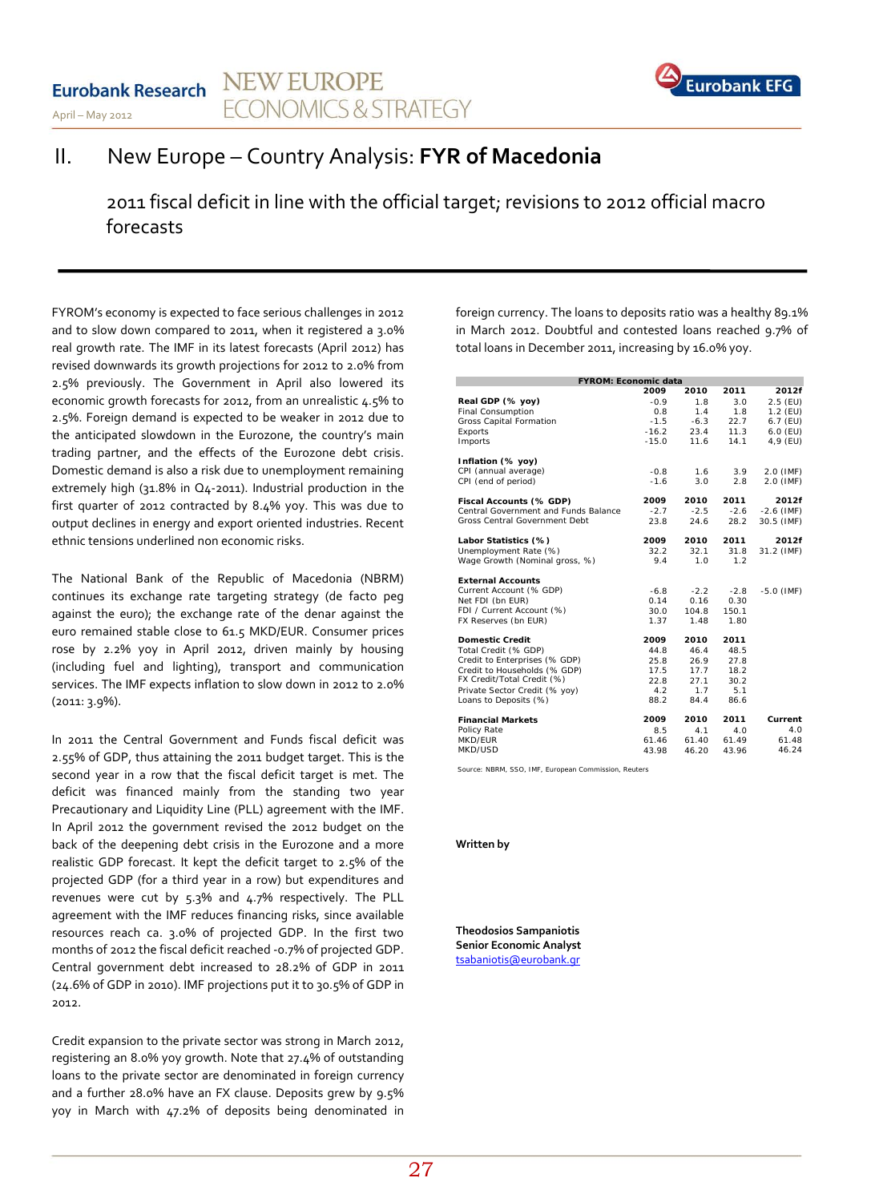#### **NEW EUROPE Eurobank Research ECONOMICS & STRATEGY** April – May 2012



# II. New Europe – Country Analysis: **FYR of Macedonia**

2011 fiscal deficit in line with the official target; revisions to 2012 official macro forecasts

FYROM's economy is expected to face serious challenges in 2012 and to slow down compared to 2011, when it registered a 3.0% real growth rate. The IMF in its latest forecasts (April 2012) has revised downwards its growth projections for 2012 to 2.0% from 2.5% previously. The Government in April also lowered its economic growth forecasts for 2012, from an unrealistic 4.5% to 2.5%. Foreign demand is expected to be weaker in 2012 due to the anticipated slowdown in the Eurozone, the country's main trading partner, and the effects of the Eurozone debt crisis. Domestic demand is also a risk due to unemployment remaining extremely high (31.8% in Q4-2011). Industrial production in the first quarter of 2012 contracted by 8.4% yoy. This was due to output declines in energy and export oriented industries. Recent ethnic tensions underlined non economic risks.

The National Bank of the Republic of Macedonia (NBRM) continues its exchange rate targeting strategy (de facto peg against the euro); the exchange rate of the denar against the euro remained stable close to 61.5 MKD/EUR. Consumer prices rose by 2.2% yoy in April 2012, driven mainly by housing (including fuel and lighting), transport and communication services. The IMF expects inflation to slow down in 2012 to 2.0% (2011: 3.9%).

In 2011 the Central Government and Funds fiscal deficit was 2.55% of GDP, thus attaining the 2011 budget target. This is the second year in a row that the fiscal deficit target is met. The deficit was financed mainly from the standing two year Precautionary and Liquidity Line (PLL) agreement with the IMF. In April 2012 the government revised the 2012 budget on the back of the deepening debt crisis in the Eurozone and a more realistic GDP forecast. It kept the deficit target to 2.5% of the projected GDP (for a third year in a row) but expenditures and revenues were cut by 5.3% and 4.7% respectively. The PLL agreement with the IMF reduces financing risks, since available resources reach ca. 3.0% of projected GDP. In the first two months of 2012 the fiscal deficit reached -0.7% of projected GDP. Central government debt increased to 28.2% of GDP in 2011 (24.6% of GDP in 2010). IMF projections put it to 30.5% of GDP in 2012.

Credit expansion to the private sector was strong in March 2012, registering an 8.0% yoy growth. Note that 27.4% of outstanding loans to the private sector are denominated in foreign currency and a further 28.0% have an FX clause. Deposits grew by 9.5% yoy in March with 47.2% of deposits being denominated in foreign currency. The loans to deposits ratio was a healthy 89.1% in March 2012. Doubtful and contested loans reached 9.7% of total loans in December 2011, increasing by 16.0% yoy.

| <b>FYROM: Economic data</b>          |         |        |        |              |
|--------------------------------------|---------|--------|--------|--------------|
|                                      | 2009    | 2010   | 2011   | 2012f        |
| Real GDP (% yoy)                     | $-0.9$  | 1.8    | 3.0    | 2.5 (EU)     |
| <b>Final Consumption</b>             | 0.8     | 1.4    | 1.8    | $1.2$ (EU)   |
| Gross Capital Formation              | $-1.5$  | $-6.3$ | 22.7   | $6.7$ (EU)   |
| Exports                              | $-16.2$ | 23.4   | 11.3   | $6.0$ (EU)   |
| Imports                              | $-15.0$ | 11.6   | 14.1   | 4,9 (EU)     |
| Inflation (% yoy)                    |         |        |        |              |
| CPI (annual average)                 | $-0.8$  | 1.6    | 3.9    | 2.0 (IMF)    |
| CPI (end of period)                  | $-1.6$  | 3.0    | 2.8    | 2.0 (IMF)    |
| Fiscal Accounts (% GDP)              | 2009    | 2010   | 2011   | 2012f        |
| Central Government and Funds Balance | $-2.7$  | $-2.5$ | $-2.6$ | $-2.6$ (IMF) |
| Gross Central Government Debt        | 23.8    | 24.6   | 28.2   | 30.5 (IMF)   |
| Labor Statistics (%)                 | 2009    | 2010   | 2011   | 2012f        |
| Unemployment Rate (%)                | 32.2    | 32.1   | 31.8   | 31.2 (IMF)   |
| Wage Growth (Nominal gross, %)       | 9.4     | 1.0    | 1.2    |              |
| <b>External Accounts</b>             |         |        |        |              |
| Current Account (% GDP)              | $-6.8$  | $-2.2$ | $-2.8$ | $-5.0$ (IMF) |
| Net FDI (bn EUR)                     | 0.14    | 0.16   | 0.30   |              |
| FDI / Current Account (%)            | 30.0    | 104.8  | 150.1  |              |
| FX Reserves (bn EUR)                 | 1.37    | 1.48   | 1.80   |              |
| <b>Domestic Credit</b>               | 2009    | 2010   | 2011   |              |
| Total Credit (% GDP)                 | 44.8    | 46.4   | 48.5   |              |
| Credit to Enterprises (% GDP)        | 25.8    | 26.9   | 27.8   |              |
| Credit to Households (% GDP)         | 17.5    | 17.7   | 18.2   |              |
| FX Credit/Total Credit (%)           | 22.8    | 27.1   | 30.2   |              |
| Private Sector Credit (% yoy)        | 4.2     | 1.7    | 5.1    |              |
| Loans to Deposits (%)                | 88.2    | 84.4   | 86.6   |              |
| <b>Financial Markets</b>             | 2009    | 2010   | 2011   | Current      |
| Policy Rate                          | 8.5     | 4.1    | 4.0    | 4.0          |
| MKD/FUR                              | 61.46   | 61.40  | 61.49  | 61.48        |
| MKD/USD                              | 43.98   | 46.20  | 43.96  | 46.24        |

*Source: NBRM, SSO, IMF, European Commission, Reuters*

#### **Written by**

**Theodosios Sampaniotis Senior Economic Analyst** [tsabaniotis@eurobank.gr](mailto:tsabaniotis@eurobank.gr)